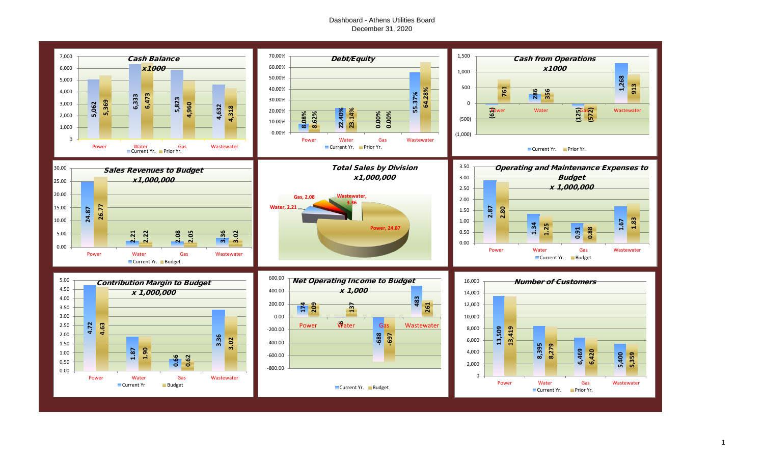#### Dashboard - Athens Utilities Board December 31, 2020

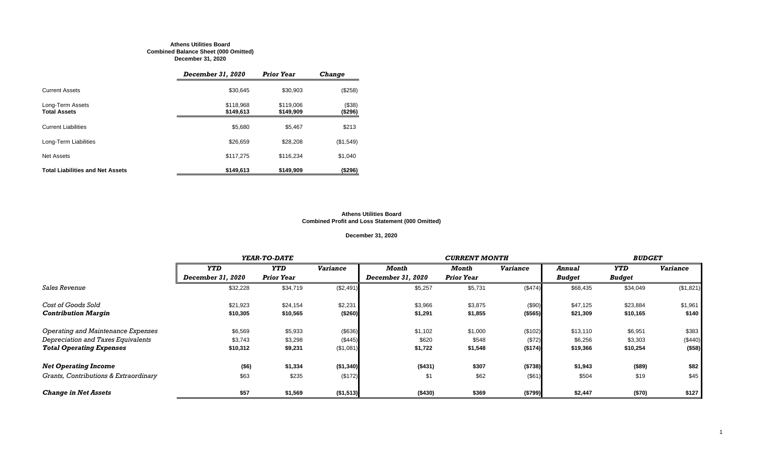#### **Athens Utilities Board Combined Balance Sheet (000 Omitted) December 31, 2020**

|                                         | December 31, 2020      | <b>Prior Year</b>      | <b>Change</b>     |
|-----------------------------------------|------------------------|------------------------|-------------------|
| <b>Current Assets</b>                   | \$30,645               | \$30,903               | (\$258)           |
| Long-Term Assets<br><b>Total Assets</b> | \$118,968<br>\$149,613 | \$119,006<br>\$149,909 | (\$38)<br>(\$296) |
| <b>Current Liabilities</b>              | \$5,680                | \$5,467                | \$213             |
| Long-Term Liabilities                   | \$26,659               | \$28,208               | (\$1,549)         |
| <b>Net Assets</b>                       | \$117,275              | \$116,234              | \$1,040           |
| <b>Total Liabilities and Net Assets</b> | \$149,613              | \$149,909              | (\$296)           |

#### **Athens Utilities Board Combined Profit and Loss Statement (000 Omitted)**

**December 31, 2020**

|                                           |                          | YEAR-TO-DATE      |                 |                   | <b>CURRENT MONTH</b> |                 |               |               |                 |  |
|-------------------------------------------|--------------------------|-------------------|-----------------|-------------------|----------------------|-----------------|---------------|---------------|-----------------|--|
|                                           | <b>YTD</b>               | <b>YTD</b>        | <b>Variance</b> | <b>Month</b>      | Month                | <b>Variance</b> | Annual        | <b>YTD</b>    | <b>Variance</b> |  |
|                                           | <b>December 31, 2020</b> | <b>Prior Year</b> |                 | December 31, 2020 | <b>Prior Year</b>    |                 | <b>Budget</b> | <b>Budget</b> |                 |  |
| <b>Sales Revenue</b>                      | \$32,228                 | \$34,719          | (\$2,491)       | \$5,257           | \$5,731              | (\$474)         | \$68,435      | \$34,049      | (\$1,821)       |  |
| Cost of Goods Sold                        | \$21,923                 | \$24,154          | \$2,231         | \$3,966           | \$3,875              | (\$90)          | \$47,125      | \$23,884      | \$1,961         |  |
| <b>Contribution Margin</b>                | \$10,305                 | \$10,565          | (\$260)         | \$1,291           | \$1,855              | (\$565)         | \$21,309      | \$10,165      | \$140           |  |
| <b>Operating and Maintenance Expenses</b> | \$6,569                  | \$5,933           | (\$636)         | \$1,102           | \$1,000              | (\$102)         | \$13,110      | \$6,951       | \$383           |  |
| Depreciation and Taxes Equivalents        | \$3,743                  | \$3,298           | (\$445)         | \$620             | \$548                | (\$72)          | \$6,256       | \$3,303       | (\$440)         |  |
| <b>Total Operating Expenses</b>           | \$10,312                 | \$9,231           | (\$1,081)       | \$1,722           | \$1,548              | (\$174)         | \$19,366      | \$10,254      | (\$58)          |  |
| <b>Net Operating Income</b>               | $($ \$6)                 | \$1,334           | (\$1,340)       | (\$431)           | \$307                | (\$738)         | \$1,943       | (\$89)        | \$82            |  |
| Grants, Contributions & Extraordinary     | \$63                     | \$235             | (\$172)         | \$1               | \$62                 | (\$61)          | \$504         | \$19          | \$45            |  |
| <b>Change in Net Assets</b>               | \$57                     | \$1,569           | (\$1,513)       | (\$430)           | \$369                | (\$799)         | \$2,447       | (\$70)        | \$127           |  |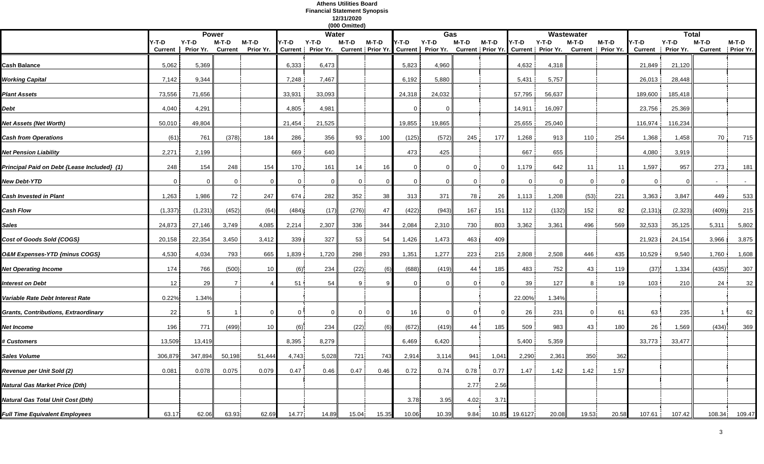#### **Athens Utilities Board Financial Statement Synopsis 12/31/2020 (000 Omitted)**

|                                             |                |                         |                 |                 |        |                         | <b>UUU OMMUU</b> U |         |                |                                                                                 |         |         |          |         |                       |                   |                           |                         |                |            |
|---------------------------------------------|----------------|-------------------------|-----------------|-----------------|--------|-------------------------|--------------------|---------|----------------|---------------------------------------------------------------------------------|---------|---------|----------|---------|-----------------------|-------------------|---------------------------|-------------------------|----------------|------------|
|                                             | Y-T-D          | <b>Power</b><br>$Y-T-D$ | $M-T-D$         | $M-T-D$         | Y-T-D  | <b>Water</b><br>$Y-T-D$ | $M-T-D$            | $M-T-D$ | Y-T-D          | Gas<br>$Y-T-D$                                                                  | $M-T-D$ | $M-T-D$ | Y-T-D    | $Y-T-D$ | Wastewater<br>$M-T-D$ | $M-T-D$           |                           | <b>Total</b><br>$Y-T-D$ | $M-T-D$        | $M-T-D$    |
|                                             | <b>Current</b> | Prior Yr.               | <b>Current</b>  | Prior Yr.       |        | Current Prior Yr.       |                    |         |                | Current   Prior Yr. Current   Prior Yr. Current   Prior Yr. Current   Prior Yr. |         |         |          |         |                       | Current Prior Yr. | $Y-T-D$<br><b>Current</b> | Prior Yr.               | <b>Current</b> | Prior Yr.  |
|                                             |                |                         |                 |                 |        |                         |                    |         |                |                                                                                 |         |         |          |         |                       |                   |                           |                         |                |            |
| <b>Cash Balance</b>                         | 5,062          | 5,369                   |                 |                 | 6,333  | 6,473                   |                    |         | 5,823          | 4,960                                                                           |         |         | 4,632    | 4,318   |                       |                   | 21,849                    | 21,120                  |                |            |
| <b>Working Capital</b>                      | 7,142          | 9,344                   |                 |                 | 7,248  | 7,467                   |                    |         | 6,192          | 5,880                                                                           |         |         | 5,431    | 5,757   |                       |                   | 26,013                    | 28,448                  |                |            |
| <b>Plant Assets</b>                         | 73,556         | 71,656                  |                 |                 | 33,931 | 33,093                  |                    |         | 24,318         | 24,032                                                                          |         |         | 57,795   | 56,637  |                       |                   | 189,600                   | 185,418                 |                |            |
| <b>Debt</b>                                 | 4,040          | 4,291                   |                 |                 | 4,805  | 4,981                   |                    |         | 0              |                                                                                 |         |         | 14,911   | 16,097  |                       |                   | 23,756                    | 25,369                  |                |            |
| <b>Net Assets (Net Worth)</b>               | 50,010         | 49,804                  |                 |                 | 21,454 | 21,525                  |                    |         | 19,855         | 19,865                                                                          |         |         | 25,655   | 25,040  |                       |                   | 116,974                   | 116,234                 |                |            |
| <b>Cash from Operations</b>                 | (61)           | 761                     | (378)           | 184             | 286    | 356                     | 93                 | 100     | (125)          | (572)                                                                           | 245     | 177     | 1,268    | 913     | 110                   | 254               | 1,368                     | 1,458                   | 70             | 715        |
| <b>Net Pension Liability</b>                | 2,271          | 2,199                   |                 |                 | 669    | 640                     |                    |         | 473            | 425                                                                             |         |         | 667      | 655     |                       |                   | 4,080                     | 3,919                   |                |            |
| Principal Paid on Debt {Lease Included} (1) | 248            | 154                     | 248             | 154             | 170    | 161                     | 14                 | 16      | $\overline{0}$ | $\Omega$                                                                        |         |         | 1,179    | 642     | 11                    | 11                | 1,597                     | 957                     | 273            | 181        |
| <b>New Debt-YTD</b>                         | $\Omega$       |                         |                 |                 | 0      |                         | $\Omega$           |         | <sup>n</sup>   |                                                                                 |         |         | $\Omega$ |         | $\Omega$              |                   |                           |                         | $\sim$         | $\sim$ $-$ |
| <b>Cash Invested in Plant</b>               | 1,263          | 1,986                   | 72 <sub>1</sub> | 247             | 674    | 282                     | 352                | 38      | 313            | 371                                                                             | 78 i    | 26      | 1,113    | 1,208   | (53)                  | 221               | 3,363                     | 3,847                   | 449            | 533        |
| <b>Cash Flow</b>                            | (1, 337)       | (1, 231)                | (452)           | (64)            | (484)  | (17)                    | (276)              | 47      | (422)          | (943)                                                                           | 167     | 151     | 112      | (132)   | 152                   | 82                | (2, 131)                  | (2, 323)                | (409)          | 215        |
| <b>Sales</b>                                | 24,873         | 27,146                  | 3,749           | 4,085           | 2,214  | 2,307                   | 336                | 344     | 2,084          | 2,310                                                                           | 730     | 803     | 3,362    | 3,361   | 496                   | 569               | 32,533                    | 35,125                  | 5,311          | 5,802      |
| Cost of Goods Sold {COGS}                   | 20,158         | 22,354                  | 3,450           | 3,412           | 339    | 327                     | 53                 | 54      | 1,426          | 1,473                                                                           | 463     | 409     |          |         |                       |                   | 21,923                    | 24,154                  | 3,966          | 3,875      |
| <b>O&amp;M Expenses-YTD {minus COGS}</b>    | 4,530          | 4,034                   | 793             | 665             | 1,839  | 1,720                   | 298                | 293     | 1,351          | 1,277                                                                           | 223     | 215     | 2,808    | 2,508   | 446                   | 435               | 10,529                    | 9,540                   | 1,760          | 1,608      |
| <b>Net Operating Income</b>                 | 174            | 766                     | (500)           | 10 <sup>°</sup> | (6)    | 234                     | (22)               | (6)     | (688)          | (419)                                                                           | 44      | 185     | 483      | 752     | 43                    | 119               | (37)                      | 1,334                   | (435)          | 307        |
| <b>Interest on Debt</b>                     | 12             | 29                      |                 |                 | 51     | 54                      | 9                  |         | 0              | $\Omega$                                                                        |         |         | 39       | 127     | 8                     | 19                | 103                       | 210                     | 24             | 32         |
| Variable Rate Debt Interest Rate            | 0.22%          | 1.34%                   |                 |                 |        |                         |                    |         |                |                                                                                 |         |         | 22.00%   | 1.34%   |                       |                   |                           |                         |                |            |
| <b>Grants, Contributions, Extraordinary</b> | 22             |                         |                 |                 |        |                         |                    |         | 16             |                                                                                 |         |         | 26       | 231     | $\overline{0}$        | 61                | 63                        | 235                     |                | 62         |
| <b>Net Income</b>                           | 196            | 771                     | (499)           | 10 <sup>°</sup> | (6)    | 234                     | (22)               | (6)     | (672)          | (419)                                                                           | 44      | 185     | 509      | 983     | 43                    | 180               | 26                        | 1,569                   | (434)          | 369        |
| # Customers                                 | 13,509         | 13,419                  |                 |                 | 8,395  | 8,279                   |                    |         | 6,469          | 6,420                                                                           |         |         | 5,400    | 5,359   |                       |                   | 33,773                    | 33,477                  |                |            |
| <b>Sales Volume</b>                         | 306,879        | 347,894                 | 50,198          | 51,444          | 4,743  | 5,028                   | 721                | 743     | 2,914          | 3,114                                                                           | 941     | 1,041   | 2,290    | 2,361   | 350                   | 362               |                           |                         |                |            |
| <b>Revenue per Unit Sold (2)</b>            | 0.081          | 0.078                   | 0.075           | 0.079           | 0.47   | 0.46                    | 0.47               | 0.46    | 0.72           | 0.74                                                                            | 0.78    | 0.77    | 1.47     | 1.42    | 1.42                  | 1.57              |                           |                         |                |            |
| <b>Natural Gas Market Price (Dth)</b>       |                |                         |                 |                 |        |                         |                    |         |                |                                                                                 | 2.77    | 2.56    |          |         |                       |                   |                           |                         |                |            |
| <b>Natural Gas Total Unit Cost (Dth)</b>    |                |                         |                 |                 |        |                         |                    |         | 3.78           | 3.95                                                                            | 4.02    | 3.71    |          |         |                       |                   |                           |                         |                |            |
| <b>Full Time Equivalent Employees</b>       | 63.17          | 62.06                   | 63.93           | 62.69           | 14.77  | 14.89                   | 15.04              | 15.35   | 10.06          | 10.39                                                                           | 9.84    | 10.85   | 19.6127  | 20.08   | 19.53                 | 20.58             | 107.61                    | 107.42                  | 108.34         | 109.47     |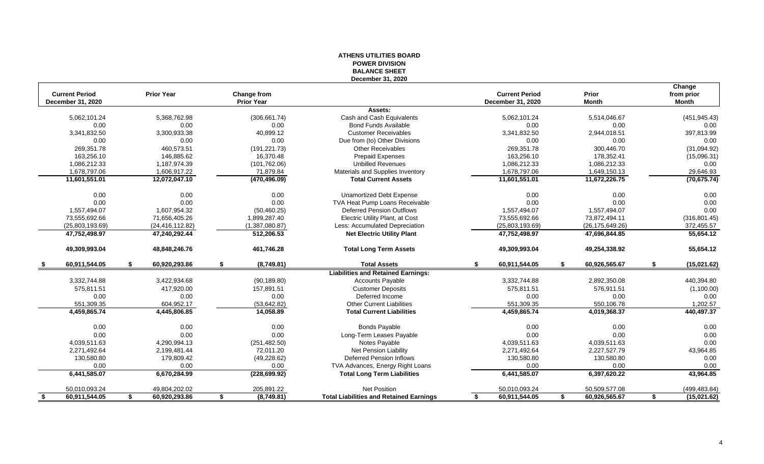#### **ATHENS UTILITIES BOARD POWER DIVISION BALANCE SHEET December 31, 2020**

| Prior<br><b>Month</b>          | Change<br>from prior<br><b>Month</b> |
|--------------------------------|--------------------------------------|
|                                |                                      |
| 5,514,046.67                   | (451, 945.43)                        |
| 0.00                           | 0.00                                 |
| 2,944,018.51                   | 397,813.99                           |
| 0.00                           | 0.00                                 |
| 300,446.70                     | (31,094.92)                          |
| 178,352.41                     | (15,096.31)                          |
| 1,086,212.33                   | 0.00                                 |
| 1,649,150.13                   | 29,646.93                            |
| 11,672,226.75                  | (70, 675.74)                         |
| 0.00                           | 0.00                                 |
| 0.00                           | 0.00                                 |
| 1,557,494.07                   | 0.00                                 |
| 73,872,494.11                  | (316, 801.45)                        |
| (26, 175, 649.26)              | 372,455.57                           |
| 47,696,844.85                  | 55,654.12                            |
| 49.254.338.92                  | 55,654.12                            |
| 60,926,565.67                  | \$<br>(15,021.62)                    |
|                                |                                      |
| 2,892,350.08                   | 440,394.80                           |
| 576,911.51                     | (1,100.00)                           |
| 0.00                           | 0.00                                 |
| 550,106.78                     | 1,202.57                             |
| 4,019,368.37                   | 440,497.37                           |
| 0.00                           | 0.00                                 |
| 0.00                           | 0.00                                 |
| 4,039,511.63                   | 0.00                                 |
| 2,227,527.79                   | 43,964.85                            |
| 130,580.80                     | 0.00                                 |
| 0.00                           | 0.00                                 |
| 6,397,620.22                   | 43,964.85                            |
|                                |                                      |
| 50,509,577.08<br>60,926,565.67 | \$<br>(499, 483.84)<br>(15, 021.62)  |

| <b>Current Period</b><br>December 31, 2020 |                              | <b>Prior Year</b> | <b>Change from</b><br><b>Prior Year</b> |                                                | <b>Current Period</b><br><b>December 31, 2020</b> | Prior<br><b>Month</b> | Change<br>from prior<br><b>Month</b> |
|--------------------------------------------|------------------------------|-------------------|-----------------------------------------|------------------------------------------------|---------------------------------------------------|-----------------------|--------------------------------------|
|                                            |                              |                   |                                         | Assets:                                        |                                                   |                       |                                      |
|                                            | 5,062,101.24                 | 5,368,762.98      | (306, 661.74)                           | Cash and Cash Equivalents                      | 5,062,101.24                                      |                       | 5,514,046.67<br>(451, 945.43)        |
|                                            | 0.00                         | 0.00              | 0.00                                    | <b>Bond Funds Available</b>                    | 0.00                                              |                       | 0.00<br>0.00                         |
|                                            | 3,341,832.50                 | 3,300,933.38      | 40,899.12                               | <b>Customer Receivables</b>                    | 3,341,832.50                                      |                       | 397,813.99<br>2,944,018.51           |
|                                            | 0.00                         | 0.00              | 0.00                                    | Due from (to) Other Divisions                  | 0.00                                              |                       | 0.00<br>0.00                         |
|                                            | 269,351.78                   | 460,573.51        | (191, 221.73)                           | <b>Other Receivables</b>                       | 269,351.78                                        |                       | 300,446.70<br>(31,094.92)            |
|                                            | 163,256.10                   | 146,885.62        | 16,370.48                               | <b>Prepaid Expenses</b>                        | 163,256.10                                        |                       | 178,352.41<br>(15,096.31)            |
|                                            | 1,086,212.33                 | 1,187,974.39      | (101, 762.06)                           | <b>Unbilled Revenues</b>                       | 1,086,212.33                                      |                       | 1,086,212.33<br>0.00                 |
|                                            | 1,678,797.06                 | 1,606,917.22      | 71,879.84                               | Materials and Supplies Inventory               | 1,678,797.06                                      |                       | 29,646.93<br>1,649,150.13            |
|                                            | 11,601,551.01                | 12,072,047.10     | (470, 496.09)                           | <b>Total Current Assets</b>                    | 11,601,551.01                                     |                       | (70, 675.74)<br>11,672,226.75        |
|                                            | 0.00                         | 0.00              | 0.00                                    | <b>Unamortized Debt Expense</b>                | 0.00                                              |                       | 0.00<br>0.00                         |
|                                            | 0.00                         | 0.00              | 0.00                                    | TVA Heat Pump Loans Receivable                 | 0.00                                              |                       | 0.00<br>0.00                         |
|                                            | 1,557,494.07                 | 1,607,954.32      | (50, 460.25)                            | <b>Deferred Pension Outflows</b>               | 1,557,494.07                                      |                       | 0.00<br>1,557,494.07                 |
|                                            | 73,555,692.66                | 71,656,405.26     | 1,899,287.40                            | <b>Electric Utility Plant, at Cost</b>         | 73,555,692.66                                     |                       | (316, 801.45)<br>73,872,494.11       |
|                                            | (25,803,193.69)              | (24, 416, 112.82) | (1,387,080.87)                          | Less: Accumulated Depreciation                 | (25,803,193.69)                                   |                       | 372,455.57<br>(26, 175, 649.26)      |
|                                            | 47,752,498.97                | 47,240,292.44     | 512,206.53                              | <b>Net Electric Utility Plant</b>              | 47,752,498.97                                     |                       | 55,654.12<br>47,696,844.85           |
| 49,309,993.04                              |                              | 48,848,246.76     | 461,746.28                              | <b>Total Long Term Assets</b>                  | 49,309,993.04                                     |                       | 49,254,338.92<br>55,654.12           |
| - \$                                       | $$^{\circ}$<br>60,911,544.05 | 60,920,293.86     | \$<br>(8,749.81)                        | <b>Total Assets</b>                            | \$<br>60,911,544.05                               | \$                    | 60,926,565.67<br>\$<br>(15,021.62)   |
|                                            |                              |                   |                                         | <b>Liabilities and Retained Earnings:</b>      |                                                   |                       |                                      |
|                                            | 3,332,744.88                 | 3,422,934.68      | (90, 189.80)                            | <b>Accounts Payable</b>                        | 3,332,744.88                                      |                       | 2,892,350.08<br>440,394.80           |
|                                            | 575,811.51                   | 417,920.00        | 157,891.51                              | <b>Customer Deposits</b>                       | 575,811.51                                        |                       | 576,911.51<br>(1,100.00)             |
|                                            | 0.00                         | 0.00              | 0.00                                    | Deferred Income                                | 0.00                                              |                       | 0.00<br>0.00                         |
|                                            | 551,309.35                   | 604,952.17        | (53, 642.82)                            | <b>Other Current Liabilities</b>               | 551,309.35                                        |                       | 550,106.78<br>1,202.57               |
|                                            | 4,459,865.74                 | 4,445,806.85      | 14,058.89                               | <b>Total Current Liabilities</b>               | 4,459,865.74                                      |                       | 440,497.37<br>4,019,368.37           |
|                                            | 0.00                         | 0.00              | 0.00                                    | <b>Bonds Payable</b>                           | 0.00                                              |                       | 0.00<br>0.00                         |
|                                            | 0.00                         | 0.00              | 0.00                                    | Long-Term Leases Payable                       | 0.00                                              |                       | 0.00<br>0.00                         |
|                                            | 4,039,511.63                 | 4,290,994.13      | (251, 482.50)                           | Notes Payable                                  | 4,039,511.63                                      |                       | 0.00<br>4,039,511.63                 |
|                                            | 2,271,492.64                 | 2,199,481.44      | 72,011.20                               | Net Pension Liability                          | 2,271,492.64                                      |                       | 43,964.85<br>2,227,527.79            |
|                                            | 130,580.80                   | 179,809.42        | (49, 228.62)                            | <b>Deferred Pension Inflows</b>                | 130,580.80                                        |                       | 130,580.80<br>0.00                   |
|                                            | 0.00                         | 0.00              | 0.00                                    | TVA Advances, Energy Right Loans               | 0.00                                              |                       | 0.00<br>0.00                         |
|                                            | 6,441,585.07                 | 6,670,284.99      | (228, 699.92)                           | <b>Total Long Term Liabilities</b>             | 6,441,585.07                                      |                       | 43,964.85<br>6,397,620.22            |
|                                            | 50,010,093.24                | 49,804,202.02     | 205,891.22                              | Net Position                                   | 50,010,093.24                                     |                       | 50,509,577.08<br>(499, 483.84)       |
| S.                                         | 60,911,544.05<br>\$          | 60,920,293.86     | \$<br>(8,749.81)                        | <b>Total Liabilities and Retained Earnings</b> | 60,911,544.05<br>S.                               | \$                    | 60,926,565.67<br>(15,021.62)<br>\$   |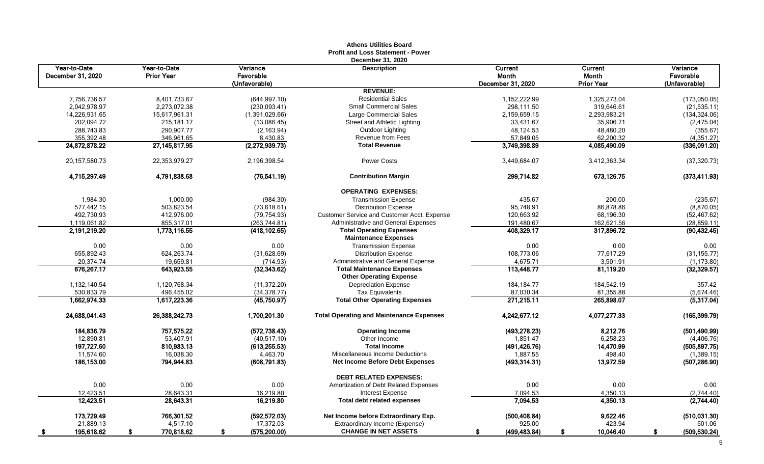**Athens Utilities Board**

| <b>Current</b>             | Variance                        |  |
|----------------------------|---------------------------------|--|
| Month                      | Favorable                       |  |
| Prior Year                 | (Unfavorable)                   |  |
|                            |                                 |  |
| 1,325,273.04<br>319,646.61 | (173,050.05)<br>(21, 535.11)    |  |
| 2,293,983.21               | (134, 324.06)                   |  |
| 35,906.71                  | (2,475.04)                      |  |
| 48,480.20                  | (355.67)                        |  |
| 62,200.32                  | (4, 351.27)                     |  |
| 4,085,490.09               | (336,091.20)                    |  |
|                            |                                 |  |
| 3,412,363.34               | (37, 320.73)                    |  |
| 673,126.75                 | (373, 411.93)                   |  |
| 200.00                     | (235.67)                        |  |
| 86,878.86                  | (8,870.05)                      |  |
| 68,196.30                  | (52, 467.62)                    |  |
| 162,621.56                 | (28, 859.11)                    |  |
| 317,896.72                 | (90, 432.45)                    |  |
| 0.00                       | 0.00                            |  |
| 77,617.29                  | (31, 155.77)                    |  |
| 3,501.91                   | (1, 173.80)                     |  |
| 81,119.20                  | (32, 329.57)                    |  |
| 184,542.19                 | 357.42                          |  |
| 81,355.88                  | (5,674.46)                      |  |
| 265,898.07                 | (5,317.04)                      |  |
| 4,077,277.33               | (165, 399.79)                   |  |
| 8,212.76                   | (501, 490.99)                   |  |
| 6,258.23                   | (4,406.76)                      |  |
| 14,470.99                  | (505,897.75)                    |  |
| 498.40                     | (1,389.15)                      |  |
| 13,972.59                  | (507, 286.90)                   |  |
|                            |                                 |  |
| 0.00<br>4,350.13           | 0.00                            |  |
| 4,350.13                   | $\frac{(2,744.40)}{(2,744.40)}$ |  |
|                            |                                 |  |
| 9,622.46                   | (510, 031.30)                   |  |
| 423.94                     | 501.06                          |  |
| 10,046.40                  | \$<br><u>(509,530.24)</u>       |  |

|                                   |                                   |                                        | <b>Profit and Loss Statement - Power</b><br>December 31, 2020       |                                       |                                       |                                        |
|-----------------------------------|-----------------------------------|----------------------------------------|---------------------------------------------------------------------|---------------------------------------|---------------------------------------|----------------------------------------|
| Year-to-Date<br>December 31, 2020 | Year-to-Date<br><b>Prior Year</b> | Variance<br>Favorable<br>(Unfavorable) | <b>Description</b>                                                  | Current<br>Month<br>December 31, 2020 | Current<br>Month<br><b>Prior Year</b> | Variance<br>Favorable<br>(Unfavorable) |
|                                   |                                   |                                        | <b>REVENUE:</b>                                                     |                                       |                                       |                                        |
| 7,756,736.57                      | 8,401,733.67                      | (644, 997.10)                          | <b>Residential Sales</b>                                            | 1,152,222.99                          | 1,325,273.04                          | (173,050.05)                           |
| 2,042,978.97                      | 2,273,072.38                      | (230,093.41)                           | <b>Small Commercial Sales</b>                                       | 298,111.50                            | 319,646.61                            | (21, 535.11)                           |
| 14,226,931.65                     | 15,617,961.31                     | (1,391,029.66)                         | <b>Large Commercial Sales</b>                                       | 2,159,659.15                          | 2,293,983.21                          | (134, 324.06)                          |
| 202,094.72                        | 215,181.17                        | (13,086.45)                            | Street and Athletic Lighting                                        | 33,431.67                             | 35,906.71                             | (2,475.04)                             |
| 288,743.83                        | 290,907.77                        | (2, 163.94)                            | Outdoor Lighting                                                    | 48,124.53                             | 48,480.20                             | (355.67)                               |
| 355,392.48                        | 346,961.65                        | 8,430.83                               | <b>Revenue from Fees</b>                                            | 57,849.05                             | 62,200.32                             | (4,351.27)                             |
| 24,872,878.22                     | 27, 145, 817. 95                  | (2,272,939.73)                         | <b>Total Revenue</b>                                                | 3,749,398.89                          | 4,085,490.09                          | (336,091.20)                           |
| 20, 157, 580. 73                  | 22,353,979.27                     | 2,196,398.54                           | <b>Power Costs</b>                                                  | 3,449,684.07                          | 3,412,363.34                          | (37, 320.73)                           |
| 4,715,297.49                      | 4,791,838.68                      | (76, 541.19)                           | <b>Contribution Margin</b>                                          | 299,714.82                            | 673,126.75                            | (373, 411.93)                          |
|                                   |                                   |                                        | <b>OPERATING EXPENSES:</b>                                          |                                       |                                       |                                        |
| 1,984.30                          | 1,000.00                          | (984.30)                               | <b>Transmission Expense</b>                                         | 435.67                                | 200.00                                | (235.67)                               |
| 577,442.15                        | 503,823.54                        | (73, 618.61)                           | <b>Distribution Expense</b>                                         | 95,748.91                             | 86,878.86                             | (8,870.05)                             |
| 492,730.93                        | 412,976.00                        | (79, 754.93)                           | <b>Customer Service and Customer Acct. Expense</b>                  | 120,663.92                            | 68,196.30                             | (52, 467.62)                           |
| 1,119,061.82                      | 855,317.01                        | (263, 744.81)                          | Administrative and General Expenses                                 | 191,480.67                            | 162,621.56                            | (28, 859.11)                           |
| 2,191,219.20                      | 1,773,116.55                      | (418, 102.65)                          | <b>Total Operating Expenses</b><br><b>Maintenance Expenses</b>      | 408,329.17                            | 317,896.72                            | (90, 432.45)                           |
| 0.00                              | 0.00                              | 0.00                                   | <b>Transmission Expense</b>                                         | 0.00                                  | 0.00                                  | 0.00                                   |
| 655,892.43                        | 624,263.74                        | (31,628.69)                            | <b>Distribution Expense</b>                                         | 108,773.06                            | 77,617.29                             | (31, 155.77)                           |
| 20,374.74                         | 19,659.81                         | (714.93)                               | Administrative and General Expense                                  | 4,675.71                              | 3,501.91                              | (1, 173.80)                            |
| 676,267.17                        | 643,923.55                        | (32, 343.62)                           | <b>Total Maintenance Expenses</b><br><b>Other Operating Expense</b> | 113,448.77                            | 81,119.20                             | (32, 329.57)                           |
| 1,132,140.54                      | 1,120,768.34                      | (11, 372.20)                           | <b>Depreciation Expense</b>                                         | 184, 184. 77                          | 184,542.19                            | 357.42                                 |
| 530,833.79                        | 496,455.02                        | (34, 378.77)                           | <b>Tax Equivalents</b>                                              | 87,030.34                             | 81,355.88                             | (5,674.46)                             |
| 1,662,974.33                      | 1,617,223.36                      | (45,750.97)                            | <b>Total Other Operating Expenses</b>                               | 271,215.11                            | 265,898.07                            | (5,317.04)                             |
| 24,688,041.43                     | 26,388,242.73                     | 1,700,201.30                           | <b>Total Operating and Maintenance Expenses</b>                     | 4,242,677.12                          | 4,077,277.33                          | (165, 399.79)                          |
| 184,836.79                        | 757,575.22                        | (572, 738.43)                          | <b>Operating Income</b>                                             | (493, 278.23)                         | 8,212.76                              | (501, 490.99)                          |
| 12,890.81                         | 53,407.91                         | (40, 517.10)                           | Other Income                                                        | 1,851.47                              | 6,258.23                              | (4,406.76)                             |
| 197,727.60                        | 810,983.13                        | (613, 255.53)                          | <b>Total Income</b>                                                 | (491, 426.76)                         | 14,470.99                             | (505, 897.75)                          |
| 11,574.60                         | 16,038.30                         | 4,463.70                               | <b>Miscellaneous Income Deductions</b>                              | 1,887.55                              | 498.40                                | (1,389.15)                             |
| 186,153.00                        | 794,944.83                        | (608, 791.83)                          | <b>Net Income Before Debt Expenses</b>                              | (493, 314.31)                         | 13,972.59                             | (507, 286.90)                          |
|                                   |                                   |                                        | <b>DEBT RELATED EXPENSES:</b>                                       |                                       |                                       |                                        |
| 0.00                              | 0.00                              | 0.00                                   | Amortization of Debt Related Expenses                               | 0.00                                  | 0.00                                  | 0.00                                   |
| 12,423.51<br>12,423.51            | 28,643.31<br>28,643.31            | 16,219.80<br>16,219.80                 | <b>Interest Expense</b><br><b>Total debt related expenses</b>       | 7,094.53<br>7,094.53                  | 4,350.13<br>4,350.13                  | (2,744.40)<br>(2,744.40)               |
| 173,729.49                        | 766,301.52                        | (592, 572.03)                          | Net Income before Extraordinary Exp.                                | (500, 408.84)                         | 9,622.46                              | (510, 031.30)                          |
| 21,889.13                         | 4,517.10                          | 17,372.03                              | Extraordinary Income (Expense)                                      | 925.00                                | 423.94                                | 501.06                                 |
| 195,618.62                        | 770,818.62                        | (575, 200.00)                          | <b>CHANGE IN NET ASSETS</b>                                         | (499, 483.84)                         | 10,046.40                             | (509, 530.24)                          |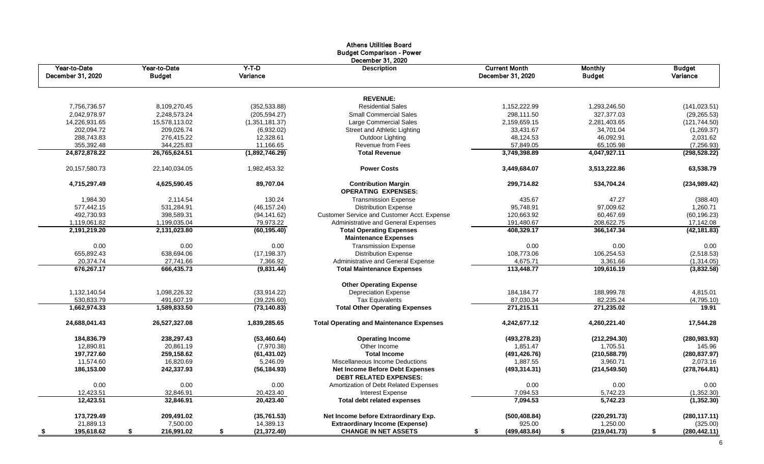|                                   |                               |                     | <b>Budget Comparison - Power</b><br>December 31, 2020                   |                                           |                                 |                           |
|-----------------------------------|-------------------------------|---------------------|-------------------------------------------------------------------------|-------------------------------------------|---------------------------------|---------------------------|
| Year-to-Date<br>December 31, 2020 | Year-to-Date<br><b>Budget</b> | $Y-T-D$<br>Variance | <b>Description</b>                                                      | <b>Current Month</b><br>December 31, 2020 | <b>Monthly</b><br><b>Budget</b> | <b>Budget</b><br>Variance |
|                                   |                               |                     | <b>REVENUE:</b>                                                         |                                           |                                 |                           |
| 7,756,736.57                      | 8,109,270.45                  | (352, 533.88)       | <b>Residential Sales</b>                                                | 1,152,222.99                              | 1,293,246.50                    | (141, 023.51)             |
| 2,042,978.97                      | 2,248,573.24                  | (205, 594.27)       | <b>Small Commercial Sales</b>                                           | 298,111.50                                | 327,377.03                      | (29, 265.53)              |
| 14,226,931.65                     | 15,578,113.02                 | (1,351,181.37)      | Large Commercial Sales                                                  | 2,159,659.15                              | 2,281,403.65                    | (121, 744.50)             |
| 202,094.72                        | 209,026.74                    | (6,932.02)          | <b>Street and Athletic Lighting</b>                                     | 33,431.67                                 | 34,701.04                       | (1,269.37)                |
| 288,743.83                        | 276,415.22                    | 12,328.61           | Outdoor Lighting                                                        | 48,124.53                                 | 46,092.91                       | 2,031.62                  |
| 355,392.48                        | 344,225.83                    | 11,166.65           | <b>Revenue from Fees</b>                                                | 57,849.05                                 | 65,105.98                       | (7,256.93)                |
| 24,872,878.22                     | 26,765,624.51                 | (1,892,746.29)      | <b>Total Revenue</b>                                                    | 3,749,398.89                              | 4,047,927.11                    | (298, 528.22)             |
| 20, 157, 580. 73                  | 22,140,034.05                 | 1,982,453.32        | <b>Power Costs</b>                                                      | 3,449,684.07                              | 3,513,222.86                    | 63,538.79                 |
| 4,715,297.49                      | 4,625,590.45                  | 89,707.04           | <b>Contribution Margin</b><br><b>OPERATING EXPENSES:</b>                | 299,714.82                                | 534,704.24                      | (234, 989.42)             |
| 1,984.30                          | 2,114.54                      | 130.24              | <b>Transmission Expense</b>                                             | 435.67                                    | 47.27                           | (388.40)                  |
| 577,442.15                        | 531,284.91                    | (46, 157.24)        | <b>Distribution Expense</b>                                             | 95,748.91                                 | 97,009.62                       | 1,260.71                  |
| 492,730.93                        | 398,589.31                    | (94, 141.62)        | <b>Customer Service and Customer Acct. Expense</b>                      | 120,663.92                                | 60,467.69                       | (60, 196.23)              |
| 1,119,061.82                      | 1,199,035.04                  | 79,973.22           | Administrative and General Expenses                                     | 191,480.67                                | 208,622.75                      | 17,142.08                 |
| 2,191,219.20                      | 2,131,023.80                  | (60, 195.40)        | <b>Total Operating Expenses</b><br><b>Maintenance Expenses</b>          | 408,329.17                                | 366,147.34                      | (42, 181.83)              |
| 0.00                              | 0.00                          | 0.00                | <b>Transmission Expense</b>                                             | 0.00                                      | 0.00                            | 0.00                      |
| 655,892.43                        | 638,694.06                    | (17, 198.37)        | <b>Distribution Expense</b>                                             | 108,773.06                                | 106,254.53                      | (2,518.53)                |
| 20,374.74                         | 27,741.66                     | 7,366.92            | Administrative and General Expense                                      | 4,675.71                                  | 3,361.66                        | (1,314.05)                |
| 676,267.17                        | 666,435.73                    | (9,831.44)          | <b>Total Maintenance Expenses</b>                                       | 113,448.77                                | 109,616.19                      | (3,832.58)                |
|                                   |                               |                     | <b>Other Operating Expense</b>                                          |                                           |                                 |                           |
| 1,132,140.54                      | 1,098,226.32                  | (33,914.22)         | <b>Depreciation Expense</b>                                             | 184, 184. 77                              | 188,999.78                      | 4,815.01                  |
| 530,833.79                        | 491,607.19                    | (39, 226.60)        | <b>Tax Equivalents</b>                                                  | 87,030.34                                 | 82,235.24                       | (4,795.10)                |
| 1,662,974.33                      | 1,589,833.50                  | (73, 140.83)        | <b>Total Other Operating Expenses</b>                                   | 271,215.11                                | 271,235.02                      | 19.91                     |
| 24,688,041.43                     | 26,527,327.08                 | 1,839,285.65        | <b>Total Operating and Maintenance Expenses</b>                         | 4,242,677.12                              | 4,260,221.40                    | 17,544.28                 |
| 184,836.79                        | 238,297.43                    | (53, 460.64)        | <b>Operating Income</b>                                                 | (493, 278.23)                             | (212, 294.30)                   | (280, 983.93)             |
| 12,890.81                         | 20,861.19                     | (7,970.38)          | Other Income                                                            | 1,851.47                                  | 1,705.51                        | 145.96                    |
| 197,727.60                        | 259,158.62                    | (61, 431.02)        | <b>Total Income</b>                                                     | (491, 426.76)                             | (210, 588.79)                   | (280, 837.97)             |
| 11,574.60                         | 16,820.69                     | 5,246.09            | <b>Miscellaneous Income Deductions</b>                                  | 1,887.55                                  | 3,960.71                        | 2,073.16                  |
| 186,153.00                        | 242,337.93                    | (56, 184.93)        | <b>Net Income Before Debt Expenses</b><br><b>DEBT RELATED EXPENSES:</b> | (493, 314.31)                             | (214, 549.50)                   | (278, 764.81)             |
| 0.00                              | 0.00                          | 0.00                | Amortization of Debt Related Expenses                                   | 0.00                                      | 0.00                            | 0.00                      |
| 12,423.51                         | 32,846.91                     | 20,423.40           | Interest Expense                                                        | 7,094.53                                  | 5,742.23                        | (1,352.30)                |
| 12,423.51                         | 32,846.91                     | 20,423.40           | <b>Total debt related expenses</b>                                      | 7,094.53                                  | 5,742.23                        | (1, 352.30)               |
| 173,729.49                        | 209,491.02                    | (35,761.53)         | Net Income before Extraordinary Exp.                                    | (500, 408.84)                             | (220, 291.73)                   | (280, 117.11)             |
| 21,889.13                         | 7,500.00                      | 14,389.13           | <b>Extraordinary Income (Expense)</b>                                   | 925.00                                    | 1,250.00                        | (325.00)                  |
| 195,618.62                        | 216,991.02                    | (21, 372.40)        | <b>CHANGE IN NET ASSETS</b>                                             | (499, 483.84)                             | (219, 041.73)                   | (280, 442.11)             |

Athens Utilities Board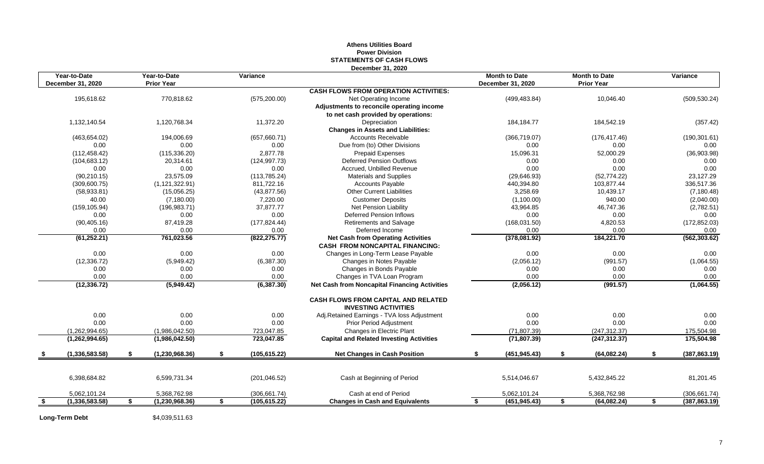#### **Athens Utilities Board Power Division STATEMENTS OF CASH FLOWS December 31, 2020**

|    | Year-to-Date<br>December 31, 2020 | Year-to-Date<br><b>Prior Year</b> | Variance            |                                                                                     |    | <b>Month to Date</b><br>December 31, 2020 |     | <b>Month to Date</b><br><b>Prior Year</b> |     | Variance      |
|----|-----------------------------------|-----------------------------------|---------------------|-------------------------------------------------------------------------------------|----|-------------------------------------------|-----|-------------------------------------------|-----|---------------|
|    |                                   |                                   |                     | <b>CASH FLOWS FROM OPERATION ACTIVITIES:</b>                                        |    |                                           |     |                                           |     |               |
|    | 195,618.62                        | 770,818.62                        | (575, 200.00)       | Net Operating Income                                                                |    | (499, 483.84)                             |     | 10,046.40                                 |     | (509, 530.24) |
|    |                                   |                                   |                     | Adjustments to reconcile operating income                                           |    |                                           |     |                                           |     |               |
|    |                                   |                                   |                     | to net cash provided by operations:                                                 |    |                                           |     |                                           |     |               |
|    | 1,132,140.54                      | 1,120,768.34                      | 11,372.20           | Depreciation                                                                        |    | 184, 184. 77                              |     | 184,542.19                                |     | (357.42)      |
|    |                                   |                                   |                     | <b>Changes in Assets and Liabilities:</b>                                           |    |                                           |     |                                           |     |               |
|    | (463, 654.02)                     | 194,006.69                        | (657, 660.71)       | <b>Accounts Receivable</b>                                                          |    | (366, 719.07)                             |     | (176, 417.46)                             |     | (190, 301.61) |
|    | 0.00                              | 0.00                              | 0.00                | Due from (to) Other Divisions                                                       |    | 0.00                                      |     | 0.00                                      |     | 0.00          |
|    | (112, 458.42)                     | (115, 336.20)                     | 2,877.78            | <b>Prepaid Expenses</b>                                                             |    | 15,096.31                                 |     | 52,000.29                                 |     | (36,903.98)   |
|    | (104, 683.12)                     | 20,314.61                         | (124, 997.73)       | <b>Deferred Pension Outflows</b>                                                    |    | 0.00                                      |     | 0.00                                      |     | 0.00          |
|    | 0.00                              | 0.00                              | 0.00                | Accrued, Unbilled Revenue                                                           |    | 0.00                                      |     | 0.00                                      |     | 0.00          |
|    | (90, 210.15)                      | 23,575.09                         | (113, 785.24)       | <b>Materials and Supplies</b>                                                       |    | (29, 646.93)                              |     | (52, 774.22)                              |     | 23,127.29     |
|    | (309,600.75)                      | (1, 121, 322.91)                  | 811,722.16          | <b>Accounts Payable</b>                                                             |    | 440,394.80                                |     | 103,877.44                                |     | 336,517.36    |
|    | (58, 933.81)                      | (15,056.25)                       | (43, 877.56)        | <b>Other Current Liabilities</b>                                                    |    | 3,258.69                                  |     | 10,439.17                                 |     | (7, 180.48)   |
|    | 40.00                             | (7, 180.00)                       | 7,220.00            | <b>Customer Deposits</b>                                                            |    | (1,100.00)                                |     | 940.00                                    |     | (2,040.00)    |
|    | (159, 105.94)                     | (196, 983.71)                     | 37,877.77           | <b>Net Pension Liability</b>                                                        |    | 43,964.85                                 |     | 46,747.36                                 |     | (2,782.51)    |
|    | 0.00                              | 0.00                              | 0.00                | <b>Deferred Pension Inflows</b>                                                     |    | 0.00                                      |     | 0.00                                      |     | 0.00          |
|    | (90, 405.16)                      | 87,419.28                         | (177, 824.44)       | <b>Retirements and Salvage</b>                                                      |    | (168, 031.50)                             |     | 4,820.53                                  |     | (172, 852.03) |
|    | 0.00                              | 0.00                              | 0.00                | Deferred Income                                                                     |    | 0.00                                      |     | 0.00                                      |     | 0.00          |
|    | (61, 252.21)                      | 761,023.56                        | (822, 275.77)       | <b>Net Cash from Operating Activities</b><br><b>CASH FROM NONCAPITAL FINANCING:</b> |    | (378,081.92)                              |     | 184,221.70                                |     | (562, 303.62) |
|    | 0.00                              | 0.00                              | 0.00                | Changes in Long-Term Lease Payable                                                  |    | 0.00                                      |     | 0.00                                      |     | 0.00          |
|    | (12, 336.72)                      | (5,949.42)                        | (6,387.30)          | Changes in Notes Payable                                                            |    | (2,056.12)                                |     | (991.57)                                  |     | (1,064.55)    |
|    | 0.00                              | 0.00                              | 0.00                | Changes in Bonds Payable                                                            |    | 0.00                                      |     | 0.00                                      |     | 0.00          |
|    | 0.00                              | 0.00                              | 0.00                | Changes in TVA Loan Program                                                         |    | 0.00                                      |     | 0.00                                      |     | 0.00          |
|    | (12, 336.72)                      | (5,949.42)                        | (6, 387.30)         | <b>Net Cash from Noncapital Financing Activities</b>                                |    | (2,056.12)                                |     | (991.57)                                  |     | (1,064.55)    |
|    |                                   |                                   |                     | <b>CASH FLOWS FROM CAPITAL AND RELATED</b><br><b>INVESTING ACTIVITIES</b>           |    |                                           |     |                                           |     |               |
|    | 0.00                              | 0.00                              | 0.00                | Adj.Retained Earnings - TVA loss Adjustment                                         |    | 0.00                                      |     | 0.00                                      |     | 0.00          |
|    | 0.00                              | 0.00                              | 0.00                | <b>Prior Period Adjustment</b>                                                      |    | 0.00                                      |     | 0.00                                      |     | 0.00          |
|    | (1,262,994.65)                    | (1,986,042.50)                    | 723,047.85          | Changes in Electric Plant                                                           |    | (71, 807.39)                              |     | (247, 312.37)                             |     | 175,504.98    |
|    | (1,262,994.65)                    | (1,986,042.50)                    | 723,047.85          | <b>Capital and Related Investing Activities</b>                                     |    | (71, 807.39)                              |     | (247, 312.37)                             |     | 175,504.98    |
| D. | (1,336,583.58)                    | \$<br>(1,230,968.36)              | \$<br>(105, 615.22) | <b>Net Changes in Cash Position</b>                                                 | £. | (451, 945.43)                             | \$F | (64,082.24)                               | \$. | (387, 863.19) |
|    | 6,398,684.82                      | 6,599,731.34                      | (201, 046.52)       | Cash at Beginning of Period                                                         |    | 5,514,046.67                              |     | 5,432,845.22                              |     | 81,201.45     |
|    | 5,062,101.24                      | 5,368,762.98                      | (306, 661.74)       | Cash at end of Period                                                               |    | 5,062,101.24                              |     | 5,368,762.98                              |     | (306, 661.74) |
|    | (1,336,583.58)                    | (1,230,968.36)                    | (105, 615.22)       | <b>Changes in Cash and Equivalents</b>                                              |    | (451, 945.43)                             |     | (64,082.24)                               |     | (387, 863.19) |

**Long-Term Debt** \$4,039,511.63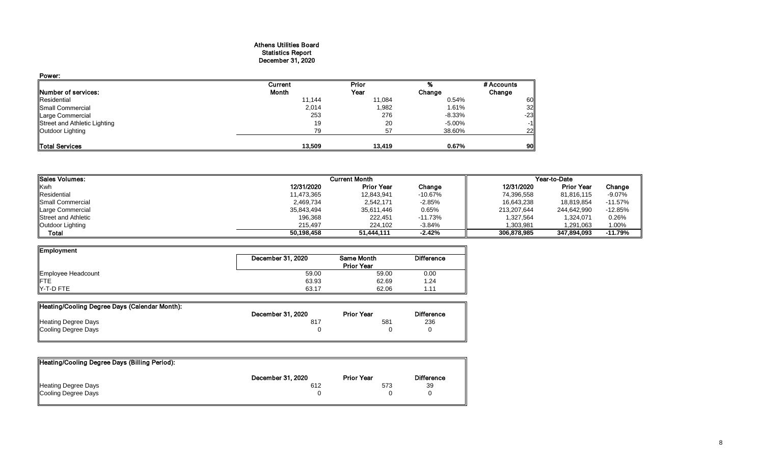#### Athens Utilities Board Statistics Report December 31, 2020

| Power:                       |         |        |           |                 |
|------------------------------|---------|--------|-----------|-----------------|
|                              | Current | Prior  |           | # Accounts      |
| Number of services:          | Month   | Year   | Change    | Change          |
| Residential                  | 11,144  | 11,084 | 0.54%     | 60              |
| <b>Small Commercial</b>      | 2,014   | 1,982  | 1.61%     | 32              |
| Large Commercial             | 253     | 276    | $-8.33\%$ | $-23$           |
| Street and Athletic Lighting | 19      | 20     | $-5.00%$  | $-1$            |
| Outdoor Lighting             | 79      | 57     | 38.60%    | 22              |
|                              |         |        |           |                 |
| <b>Total Services</b>        | 13,509  | 13,419 | 0.67%     | 90 <sub>l</sub> |

| Sales Volumes:      |            | <b>Current Month</b> |           |             | Year-to-Date      |           |
|---------------------|------------|----------------------|-----------|-------------|-------------------|-----------|
| Kwh                 | 12/31/2020 | <b>Prior Year</b>    | Change    | 12/31/2020  | <b>Prior Year</b> | Change    |
| Residential         | 11,473,365 | 12,843,941           | $-10.67%$ | 74,396,558  | 81,816,115        | $-9.07%$  |
| Small Commercial    | 2,469,734  | 2,542,171            | $-2.85%$  | 16,643,238  | 18,819,854        | $-11.57%$ |
| Large Commercial    | 35,843,494 | 35,611,446           | 0.65%     | 213,207,644 | 244,642,990       | $-12.85%$ |
| Street and Athletic | 196,368    | 222,451              | $-11.73%$ | ,327,564    | 1,324,071         | 0.26%     |
| Outdoor Lighting    | 215.497    | 224,102              | $-3.84%$  | 1,303,981   | 1,291,063         | 1.00%     |
| Total               | 50,198,458 | 51,444,111           | $-2.42%$  | 306,878,985 | 347,894,093       | $-11.79%$ |

| Employment                     |                   |                   |                   |  |  |  |  |
|--------------------------------|-------------------|-------------------|-------------------|--|--|--|--|
|                                | December 31, 2020 | <b>Same Month</b> | <b>Difference</b> |  |  |  |  |
|                                | <b>Prior Year</b> |                   |                   |  |  |  |  |
| Employee Headcount             | 59.00             | 59.00             | 0.00              |  |  |  |  |
|                                | 63.93             | 62.69             | 1.24              |  |  |  |  |
| $\blacktriangleright$ -T-D FTE | 63.17             | 62.06             | 1.1 <sup>4</sup>  |  |  |  |  |

| Heating/Cooling Degree Days (Calendar Month): |                   |                   |                   |
|-----------------------------------------------|-------------------|-------------------|-------------------|
|                                               | December 31, 2020 | <b>Prior Year</b> | <b>Difference</b> |
| <b>Heating Degree Days</b>                    | 81.               | 581               | 236               |
| Cooling Degree Days                           |                   |                   |                   |

| Heating/Cooling Degree Days (Billing Period): |                   |                   |                   |
|-----------------------------------------------|-------------------|-------------------|-------------------|
|                                               | December 31, 2020 | <b>Prior Year</b> | <b>Difference</b> |
| Heating Degree Days                           | 612               | 573               | 39                |
| Cooling Degree Days                           |                   |                   |                   |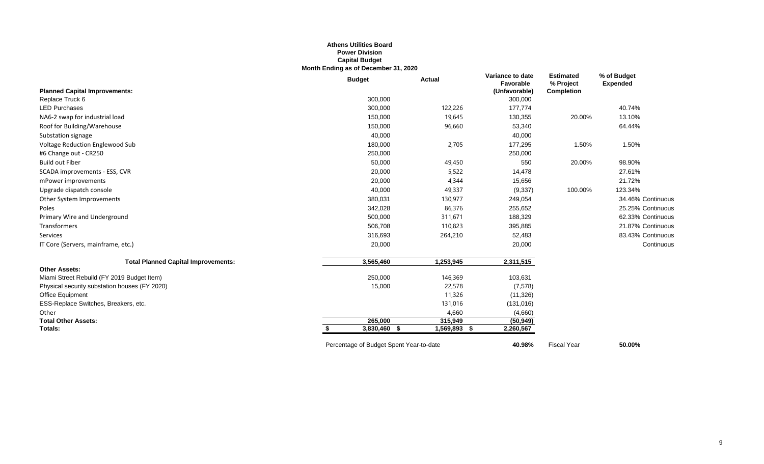#### **Athens Utilities Board Power Division Capital Budget Month Ending as of December 31, 2020**

|                                               | <b>Budget</b> | <b>Actual</b> | Variance to date<br>Favorable | <b>Estimated</b><br>% Project | % of Budget<br><b>Expended</b> |
|-----------------------------------------------|---------------|---------------|-------------------------------|-------------------------------|--------------------------------|
| <b>Planned Capital Improvements:</b>          |               |               | (Unfavorable)                 | <b>Completion</b>             |                                |
| Replace Truck 6                               | 300,000       |               | 300,000                       |                               |                                |
| <b>LED Purchases</b>                          | 300,000       | 122,226       | 177,774                       |                               | 40.74%                         |
| NA6-2 swap for industrial load                | 150,000       | 19,645        | 130,355                       | 20.00%                        | 13.10%                         |
| Roof for Building/Warehouse                   | 150,000       | 96,660        | 53,340                        |                               | 64.44%                         |
| Substation signage                            | 40,000        |               | 40,000                        |                               |                                |
| Voltage Reduction Englewood Sub               | 180,000       | 2,705         | 177,295                       | 1.50%                         | 1.50%                          |
| #6 Change out - CR250                         | 250,000       |               | 250,000                       |                               |                                |
| <b>Build out Fiber</b>                        | 50,000        | 49,450        | 550                           | 20.00%                        | 98.90%                         |
| SCADA improvements - ESS, CVR                 | 20,000        | 5,522         | 14,478                        |                               | 27.61%                         |
| mPower improvements                           | 20,000        | 4,344         | 15,656                        |                               | 21.72%                         |
| Upgrade dispatch console                      | 40,000        | 49,337        | (9, 337)                      | 100.00%                       | 123.34%                        |
| Other System Improvements                     | 380,031       | 130,977       | 249,054                       |                               | 34.46% Continuous              |
| Poles                                         | 342,028       | 86,376        | 255,652                       |                               | 25.25% Continuous              |
| Primary Wire and Underground                  | 500,000       | 311,671       | 188,329                       |                               | 62.33% Continuous              |
| Transformers                                  | 506,708       | 110,823       | 395,885                       |                               | 21.87% Continuous              |
| Services                                      | 316,693       | 264,210       | 52,483                        |                               | 83.43% Continuous              |
| IT Core (Servers, mainframe, etc.)            | 20,000        |               | 20,000                        |                               | Continuous                     |
| <b>Total Planned Capital Improvements:</b>    | 3,565,460     | 1,253,945     | 2,311,515                     |                               |                                |
| <b>Other Assets:</b>                          |               |               |                               |                               |                                |
| Miami Street Rebuild (FY 2019 Budget Item)    | 250,000       | 146,369       | 103,631                       |                               |                                |
| Physical security substation houses (FY 2020) | 15,000        | 22,578        | (7, 578)                      |                               |                                |
| Office Equipment                              |               | 11,326        | (11, 326)                     |                               |                                |
| ESS-Replace Switches, Breakers, etc.          |               | 131,016       | (131, 016)                    |                               |                                |
| Other                                         |               | 4,660         | (4,660)                       |                               |                                |
| <b>Total Other Assets:</b>                    | 265,000       | 315,949       | (50, 949)                     |                               |                                |
| Totals:                                       | 3,830,460 \$  | 1,569,893 \$  | 2,260,567                     |                               |                                |

Percentage of Budget Spent Year-to-date **40.98%** Fiscal Year **50.00%**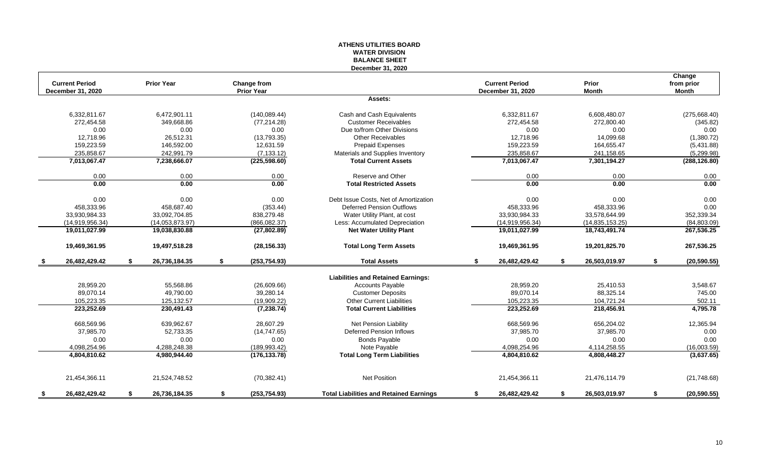#### **ATHENS UTILITIES BOARD WATER DIVISION BALANCE SHEET December 31, 2020**

| <b>Current Period</b> | <b>Prior Year</b>   | <b>Change from</b>  |                                                |    | <b>Current Period</b>    |    | <b>Prior</b>      | Change<br>from prior |
|-----------------------|---------------------|---------------------|------------------------------------------------|----|--------------------------|----|-------------------|----------------------|
| December 31, 2020     |                     | <b>Prior Year</b>   |                                                |    | <b>December 31, 2020</b> |    | <b>Month</b>      | <b>Month</b>         |
|                       |                     |                     | Assets:                                        |    |                          |    |                   |                      |
| 6,332,811.67          | 6,472,901.11        | (140, 089.44)       | Cash and Cash Equivalents                      |    | 6,332,811.67             |    | 6,608,480.07      | (275,668.40)         |
| 272,454.58            | 349,668.86          | (77, 214.28)        | <b>Customer Receivables</b>                    |    | 272,454.58               |    | 272,800.40        | (345.82)             |
| 0.00                  | 0.00                | 0.00                | Due to/from Other Divisions                    |    | 0.00                     |    | 0.00              | 0.00                 |
| 12,718.96             | 26,512.31           | (13,793.35)         | <b>Other Receivables</b>                       |    | 12,718.96                |    | 14,099.68         | (1,380.72)           |
| 159,223.59            | 146,592.00          | 12,631.59           | <b>Prepaid Expenses</b>                        |    | 159,223.59               |    | 164,655.47        | (5,431.88)           |
| 235,858.67            | 242,991.79          | (7, 133.12)         | Materials and Supplies Inventory               |    | 235,858.67               |    | 241,158.65        | (5,299.98)           |
| 7,013,067.47          | 7,238,666.07        | (225, 598.60)       | <b>Total Current Assets</b>                    |    | 7,013,067.47             |    | 7,301,194.27      | (288, 126.80)        |
| 0.00                  | 0.00                | 0.00                | Reserve and Other                              |    | 0.00                     |    | 0.00              | 0.00                 |
| 0.00                  | 0.00                | 0.00                | <b>Total Restricted Assets</b>                 |    | 0.00                     |    | 0.00              | 0.00                 |
| 0.00                  | 0.00                | 0.00                | Debt Issue Costs, Net of Amortization          |    | 0.00                     |    | 0.00              | 0.00                 |
| 458,333.96            | 458,687.40          | (353.44)            | <b>Deferred Pension Outflows</b>               |    | 458,333.96               |    | 458,333.96        | 0.00                 |
| 33,930,984.33         | 33,092,704.85       | 838,279.48          | Water Utility Plant, at cost                   |    | 33,930,984.33            |    | 33,578,644.99     | 352,339.34           |
| (14,919,956.34)       | (14,053,873.97)     | (866,082.37)        | Less: Accumulated Depreciation                 |    | (14,919,956.34)          |    | (14, 835, 153.25) | (84,803.09)          |
| 19,011,027.99         | 19,038,830.88       | (27, 802.89)        | <b>Net Water Utility Plant</b>                 |    | 19,011,027.99            |    | 18,743,491.74     | 267,536.25           |
| 19,469,361.95         | 19,497,518.28       | (28, 156.33)        | <b>Total Long Term Assets</b>                  |    | 19,469,361.95            |    | 19,201,825.70     | 267,536.25           |
| \$<br>26,482,429.42   | \$<br>26,736,184.35 | \$<br>(253, 754.93) | <b>Total Assets</b>                            | S. | 26,482,429.42            | S. | 26,503,019.97     | \$<br>(20, 590.55)   |
|                       |                     |                     | <b>Liabilities and Retained Earnings:</b>      |    |                          |    |                   |                      |
| 28,959.20             | 55,568.86           | (26,609.66)         | <b>Accounts Payable</b>                        |    | 28,959.20                |    | 25,410.53         | 3,548.67             |
| 89,070.14             | 49,790.00           | 39,280.14           | <b>Customer Deposits</b>                       |    | 89,070.14                |    | 88,325.14         | 745.00               |
| 105,223.35            | 125, 132.57         | (19,909.22)         | <b>Other Current Liabilities</b>               |    | 105,223.35               |    | 104,721.24        | 502.11               |
| 223,252.69            | 230,491.43          | (7, 238.74)         | <b>Total Current Liabilities</b>               |    | 223,252.69               |    | 218,456.91        | 4,795.78             |
| 668,569.96            | 639,962.67          | 28,607.29           | <b>Net Pension Liability</b>                   |    | 668,569.96               |    | 656,204.02        | 12,365.94            |
| 37,985.70             | 52,733.35           | (14, 747.65)        | <b>Deferred Pension Inflows</b>                |    | 37,985.70                |    | 37,985.70         | 0.00                 |
| 0.00                  | 0.00                | 0.00                | <b>Bonds Payable</b>                           |    | 0.00                     |    | 0.00              | 0.00                 |
| 4,098,254.96          | 4,288,248.38        | (189, 993.42)       | Note Payable                                   |    | 4,098,254.96             |    | 4,114,258.55      | (16,003.59)          |
| 4,804,810.62          | 4,980,944.40        | (176, 133.78)       | <b>Total Long Term Liabilities</b>             |    | 4,804,810.62             |    | 4,808,448.27      | (3,637.65)           |
| 21,454,366.11         | 21,524,748.52       | (70, 382.41)        | <b>Net Position</b>                            |    | 21,454,366.11            |    | 21,476,114.79     | (21,748.68)          |
| \$<br>26,482,429.42   | \$<br>26,736,184.35 | \$<br>(253, 754.93) | <b>Total Liabilities and Retained Earnings</b> | \$ | 26,482,429.42            | S. | 26,503,019.97     | \$<br>(20, 590.55)   |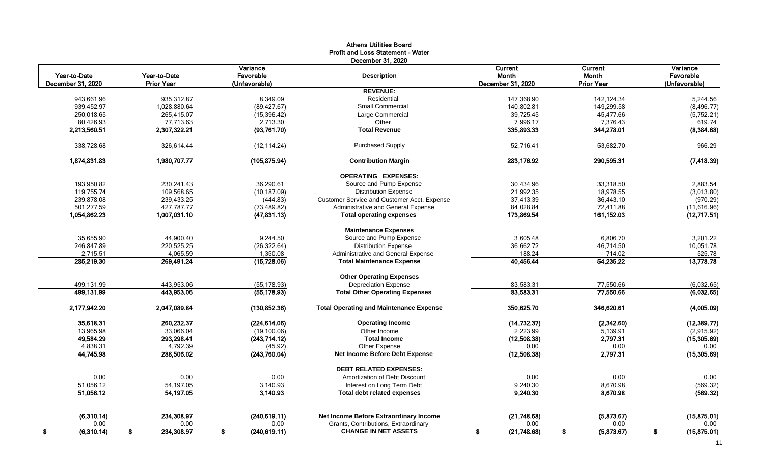#### Athens Utilities Board Profit and Loss Statement - Water

|        | <b>Current</b>           |                                    | Variance            |
|--------|--------------------------|------------------------------------|---------------------|
|        | Month                    |                                    | Favorable           |
|        | <b>Prior Year</b>        | December 31, 2020                  | (Unfavorable)       |
|        |                          |                                    |                     |
|        | 142, 124.34              | 147,368.90                         | 5,244.56            |
|        | 149,299.58               | 140,802.81                         | (8,496.77)          |
|        | 45,477.66                | 39,725.45                          | (5,752.21)          |
|        | 7,376.43                 | 7,996.17                           | 619.74              |
|        | 344,278.01               | 335,893.33                         | (8, 384.68)         |
|        | 53,682.70                | 52,716.41                          | 966.29              |
|        | 290,595.31               | 283,176.92                         | (7, 418.39)         |
|        |                          |                                    |                     |
|        | 33,318.50                | 30,434.96                          | 2,883.54            |
|        | 18,978.55                | 21,992.35                          | (3,013.80)          |
|        | 36,443.10                | 37,413.39                          | (970.29)            |
|        | 72,411.88                | 84,028.84                          | (11,616.96)         |
|        | 161,152.03               | 173,869.54                         | (12,717.51)         |
|        |                          |                                    |                     |
|        | 6,806.70                 | 3,605.48                           | 3,201.22            |
|        | 46,714.50                | 36,662.72                          | 10,051.78           |
| 714.02 |                          | 188.24                             | 525.78              |
|        | 54,235.22                | 40,456.44                          | 13,778.78           |
|        |                          |                                    |                     |
|        | 77,550.66                | 83,583.31                          | (6,032.65)          |
|        | 77,550.66                | 83,583.31                          | (6,032.65)          |
|        | 346,620.61               | 350,625.70                         | (4,005.09)          |
|        | (2,342.60)               | (14, 732.37)                       | (12, 389.77)        |
|        | 5,139.91                 | 2,223.99                           | (2,915.92)          |
|        | 2,797.31                 | (12,508.38)                        | (15,305.69)         |
| 0.00   |                          | 0.00                               | 0.00                |
|        | 2,797.31                 | (12,508.38)                        | (15,305.69)         |
|        |                          |                                    |                     |
| 0.00   |                          | 0.00                               | 0.00                |
|        | 8,670.98                 | 9,240.30                           | (569.32)            |
|        | 8,670.98                 | 9,240.30                           | (569.32)            |
|        |                          |                                    |                     |
|        |                          |                                    | (15, 875.01)        |
|        |                          |                                    | 0.00<br>(15,875.01) |
| 0.00   | (5,873.67)<br>(5,873.67) | (21,748.68)<br>0.00<br>(21,748.68) |                     |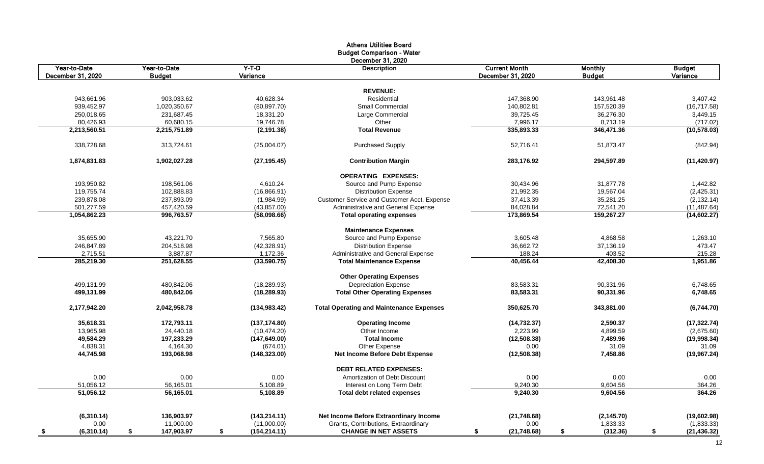|                                   |                               |                     | <b>Athens Utilities Board</b><br><b>Budget Comparison - Water</b><br>December 31, 2020 |                                           |                                 |                           |
|-----------------------------------|-------------------------------|---------------------|----------------------------------------------------------------------------------------|-------------------------------------------|---------------------------------|---------------------------|
| Year-to-Date<br>December 31, 2020 | Year-to-Date<br><b>Budget</b> | Y-T-D<br>Variance   | <b>Description</b>                                                                     | <b>Current Month</b><br>December 31, 2020 | <b>Monthly</b><br><b>Budget</b> | <b>Budget</b><br>Variance |
|                                   |                               |                     |                                                                                        |                                           |                                 |                           |
|                                   |                               |                     | <b>REVENUE:</b>                                                                        |                                           |                                 |                           |
| 943,661.96                        | 903,033.62                    | 40,628.34           | Residential                                                                            | 147,368.90                                | 143,961.48                      | 3,407.42                  |
| 939,452.97                        | 1,020,350.67                  | (80, 897.70)        | <b>Small Commercial</b>                                                                | 140,802.81                                | 157,520.39                      | (16,717.58)               |
| 250,018.65                        | 231,687.45                    | 18,331.20           | Large Commercial                                                                       | 39,725.45                                 | 36,276.30                       | 3,449.15                  |
| 80,426.93                         | 60,680.15                     | 19,746.78           | Other                                                                                  | 7,996.17                                  | 8,713.19                        | (717.02)                  |
| 2,213,560.51                      | 2,215,751.89                  | (2, 191.38)         | <b>Total Revenue</b>                                                                   | 335,893.33                                | 346,471.36                      | (10, 578.03)              |
| 338,728.68                        | 313,724.61                    | (25,004.07)         | <b>Purchased Supply</b>                                                                | 52,716.41                                 | 51,873.47                       | (842.94)                  |
| 1,874,831.83                      | 1,902,027.28                  | (27, 195.45)        | <b>Contribution Margin</b>                                                             | 283,176.92                                | 294,597.89                      | (11, 420.97)              |
|                                   |                               |                     | <b>OPERATING EXPENSES:</b>                                                             |                                           |                                 |                           |
| 193,950.82                        | 198,561.06                    | 4,610.24            | Source and Pump Expense                                                                | 30,434.96                                 | 31,877.78                       | 1,442.82                  |
| 119,755.74                        | 102,888.83                    | (16,866.91)         | <b>Distribution Expense</b>                                                            | 21,992.35                                 | 19,567.04                       | (2,425.31)                |
| 239,878.08                        | 237,893.09                    | (1,984.99)          | <b>Customer Service and Customer Acct. Expense</b>                                     | 37,413.39                                 | 35,281.25                       | (2, 132.14)               |
| 501,277.59                        | 457,420.59                    | (43, 857.00)        | Administrative and General Expense                                                     | 84,028.84                                 | 72,541.20                       | (11, 487.64)              |
| 1,054,862.23                      | 996,763.57                    | (58,098.66)         | <b>Total operating expenses</b>                                                        | 173,869.54                                | 159,267.27                      | (14,602.27)               |
|                                   |                               |                     | <b>Maintenance Expenses</b>                                                            |                                           |                                 |                           |
| 35,655.90                         | 43,221.70                     | 7,565.80            | Source and Pump Expense                                                                | 3,605.48                                  | 4,868.58                        | 1,263.10                  |
| 246,847.89                        | 204,518.98                    | (42, 328.91)        | <b>Distribution Expense</b>                                                            | 36,662.72                                 | 37,136.19                       | 473.47                    |
| 2,715.51                          | 3,887.87                      | 1,172.36            | Administrative and General Expense                                                     | 188.24                                    | 403.52                          | 215.28                    |
| 285,219.30                        | 251,628.55                    | (33,590.75)         | <b>Total Maintenance Expense</b>                                                       | 40,456.44                                 | 42,408.30                       | 1,951.86                  |
|                                   |                               |                     | <b>Other Operating Expenses</b>                                                        |                                           |                                 |                           |
| 499,131.99                        | 480,842.06                    | (18, 289.93)        | <b>Depreciation Expense</b>                                                            | 83,583.31                                 | 90,331.96                       | 6,748.65                  |
| 499,131.99                        | 480,842.06                    | (18, 289.93)        | <b>Total Other Operating Expenses</b>                                                  | 83,583.31                                 | 90,331.96                       | 6,748.65                  |
| 2,177,942.20                      | 2,042,958.78                  | (134, 983.42)       | <b>Total Operating and Maintenance Expenses</b>                                        | 350,625.70                                | 343,881.00                      | (6,744.70)                |
| 35,618.31                         | 172,793.11                    | (137, 174.80)       | <b>Operating Income</b>                                                                | (14, 732.37)                              | 2,590.37                        | (17, 322.74)              |
| 13,965.98                         | 24,440.18                     | (10, 474.20)        | Other Income                                                                           | 2,223.99                                  | 4,899.59                        | (2,675.60)                |
| 49,584.29                         | 197,233.29                    | (147, 649.00)       | <b>Total Income</b>                                                                    | (12, 508.38)                              | 7,489.96                        | (19,998.34)               |
| 4,838.31                          | 4,164.30                      | (674.01)            | Other Expense                                                                          | 0.00                                      | 31.09                           | 31.09                     |
| 44,745.98                         | 193,068.98                    | (148, 323.00)       | <b>Net Income Before Debt Expense</b>                                                  | (12, 508.38)                              | 7,458.86                        | (19,967.24)               |
|                                   |                               |                     | <b>DEBT RELATED EXPENSES:</b>                                                          |                                           |                                 |                           |
| 0.00                              | 0.00                          | 0.00                | Amortization of Debt Discount                                                          | 0.00                                      | 0.00                            | 0.00                      |
| 51,056.12                         | 56,165.01                     | 5,108.89            | Interest on Long Term Debt                                                             | 9,240.30                                  | 9,604.56                        | 364.26                    |
| 51,056.12                         | 56,165.01                     | 5,108.89            | <b>Total debt related expenses</b>                                                     | 9,240.30                                  | 9,604.56                        | 364.26                    |
|                                   |                               |                     |                                                                                        |                                           |                                 |                           |
| (6,310.14)                        | 136,903.97                    | (143, 214.11)       | Net Income Before Extraordinary Income                                                 | (21,748.68)                               | (2, 145.70)                     | (19,602.98)               |
| 0.00                              | 11,000.00                     | (11,000.00)         | Grants, Contributions, Extraordinary                                                   | 0.00                                      | 1,833.33                        | (1,833.33)                |
| (6,310.14)                        | 147,903.97<br>S               | (154, 214.11)<br>S. | <b>CHANGE IN NET ASSETS</b>                                                            | (21, 748.68)                              | (312.36)                        | (21, 436.32)              |

12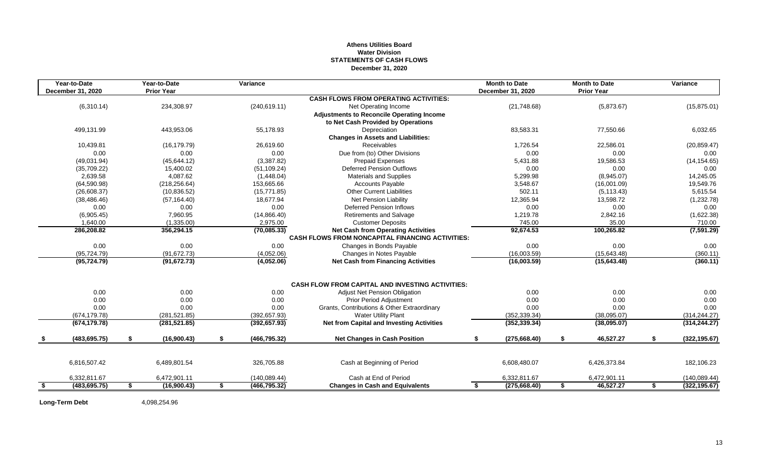#### **Athens Utilities Board Water Division STATEMENTS OF CASH FLOWS December 31, 2020**

| Year-to-Date<br><b>December 31, 2020</b> | Year-to-Date<br><b>Prior Year</b> | Variance            |                                                         |    | <b>Month to Date</b><br><b>December 31, 2020</b> | <b>Month to Date</b><br><b>Prior Year</b> |    | Variance      |
|------------------------------------------|-----------------------------------|---------------------|---------------------------------------------------------|----|--------------------------------------------------|-------------------------------------------|----|---------------|
|                                          |                                   |                     | <b>CASH FLOWS FROM OPERATING ACTIVITIES:</b>            |    |                                                  |                                           |    |               |
| (6,310.14)                               | 234,308.97                        | (240, 619.11)       | Net Operating Income                                    |    | (21,748.68)                                      | (5,873.67)                                |    | (15, 875.01)  |
|                                          |                                   |                     | <b>Adjustments to Reconcile Operating Income</b>        |    |                                                  |                                           |    |               |
|                                          |                                   |                     | to Net Cash Provided by Operations                      |    |                                                  |                                           |    |               |
| 499,131.99                               | 443,953.06                        | 55,178.93           | Depreciation                                            |    | 83,583.31                                        | 77,550.66                                 |    | 6,032.65      |
|                                          |                                   |                     | <b>Changes in Assets and Liabilities:</b>               |    |                                                  |                                           |    |               |
| 10,439.81                                | (16, 179.79)                      | 26,619.60           | Receivables                                             |    | 1,726.54                                         | 22,586.01                                 |    | (20, 859.47)  |
| 0.00                                     | 0.00                              | 0.00                | Due from (to) Other Divisions                           |    | 0.00                                             | 0.00                                      |    | 0.00          |
| (49,031.94)                              | (45, 644.12)                      | (3,387.82)          | <b>Prepaid Expenses</b>                                 |    | 5,431.88                                         | 19,586.53                                 |    | (14, 154.65)  |
| (35,709.22)                              | 15,400.02                         | (51, 109.24)        | <b>Deferred Pension Outflows</b>                        |    | 0.00                                             | 0.00                                      |    | 0.00          |
| 2,639.58                                 | 4,087.62                          | (1,448.04)          | <b>Materials and Supplies</b>                           |    | 5,299.98                                         | (8,945.07)                                |    | 14,245.05     |
| (64, 590.98)                             | (218, 256.64)                     | 153,665.66          | <b>Accounts Payable</b>                                 |    | 3,548.67                                         | (16,001.09)                               |    | 19,549.76     |
| (26,608.37)                              | (10, 836.52)                      | (15, 771.85)        | <b>Other Current Liabilities</b>                        |    | 502.11                                           | (5, 113.43)                               |    | 5,615.54      |
| (38, 486.46)                             | (57, 164.40)                      | 18,677.94           | <b>Net Pension Liability</b>                            |    | 12,365.94                                        | 13,598.72                                 |    | (1,232.78)    |
| 0.00                                     | 0.00                              | 0.00                | <b>Deferred Pension Inflows</b>                         |    | 0.00                                             | 0.00                                      |    | 0.00          |
| (6,905.45)                               | 7,960.95                          | (14,866.40)         | <b>Retirements and Salvage</b>                          |    | 1,219.78                                         | 2,842.16                                  |    | (1,622.38)    |
| 1,640.00                                 | (1,335.00)                        | 2,975.00            | <b>Customer Deposits</b>                                |    | 745.00                                           | 35.00                                     |    | 710.00        |
| 286,208.82                               | 356,294.15                        | (70,085.33)         | <b>Net Cash from Operating Activities</b>               |    | 92,674.53                                        | 100,265.82                                |    | (7,591.29)    |
|                                          |                                   |                     | <b>CASH FLOWS FROM NONCAPITAL FINANCING ACTIVITIES:</b> |    |                                                  |                                           |    |               |
| 0.00                                     | 0.00                              | 0.00                | Changes in Bonds Payable                                |    | 0.00                                             | 0.00                                      |    | 0.00          |
| (95, 724.79)                             | (91, 672.73)                      | (4,052.06)          | Changes in Notes Payable                                |    | (16,003.59)                                      | (15, 643.48)                              |    | (360.11)      |
| (95, 724.79)                             | (91, 672.73)                      | (4,052.06)          | <b>Net Cash from Financing Activities</b>               |    | (16,003.59)                                      | (15,643.48)                               |    | (360.11)      |
|                                          |                                   |                     | <b>CASH FLOW FROM CAPITAL AND INVESTING ACTIVITIES:</b> |    |                                                  |                                           |    |               |
| 0.00                                     | 0.00                              | 0.00                | <b>Adjust Net Pension Obligation</b>                    |    | 0.00                                             | 0.00                                      |    | 0.00          |
| 0.00                                     | 0.00                              | 0.00                | <b>Prior Period Adjustment</b>                          |    | 0.00                                             | 0.00                                      |    | 0.00          |
| 0.00                                     | 0.00                              | 0.00                | Grants, Contributions & Other Extraordinary             |    | 0.00                                             | 0.00                                      |    | 0.00          |
| (674, 179.78)                            | (281, 521.85)                     | (392, 657.93)       | <b>Water Utility Plant</b>                              |    | (352, 339.34)                                    | (38,095.07)                               |    | (314, 244.27) |
| (674, 179.78)                            | (281, 521.85)                     | (392, 657.93)       | <b>Net from Capital and Investing Activities</b>        |    | (352, 339.34)                                    | (38,095.07)                               |    | (314, 244.27) |
| \$<br>(483, 695.75)                      | \$<br>(16,900.43)                 | \$<br>(466, 795.32) | <b>Net Changes in Cash Position</b>                     | S  | (275, 668.40)                                    | \$<br>46,527.27                           | S. | (322, 195.67) |
|                                          |                                   |                     |                                                         |    |                                                  |                                           |    |               |
| 6,816,507.42                             | 6,489,801.54                      | 326,705.88          | Cash at Beginning of Period                             |    | 6,608,480.07                                     | 6,426,373.84                              |    | 182,106.23    |
| 6,332,811.67                             | 6,472,901.11                      | (140, 089.44)       | Cash at End of Period                                   |    | 6,332,811.67                                     | 6,472,901.11                              |    | (140, 089.44) |
| \$<br>(483, 695.75)                      | \$<br>(16,900.43)                 | \$<br>(466, 795.32) | <b>Changes in Cash and Equivalents</b>                  | \$ | (275, 668.40)                                    | \$<br>46,527.27                           | \$ | (322, 195.67) |

**Long-Term Debt** 4,098,254.96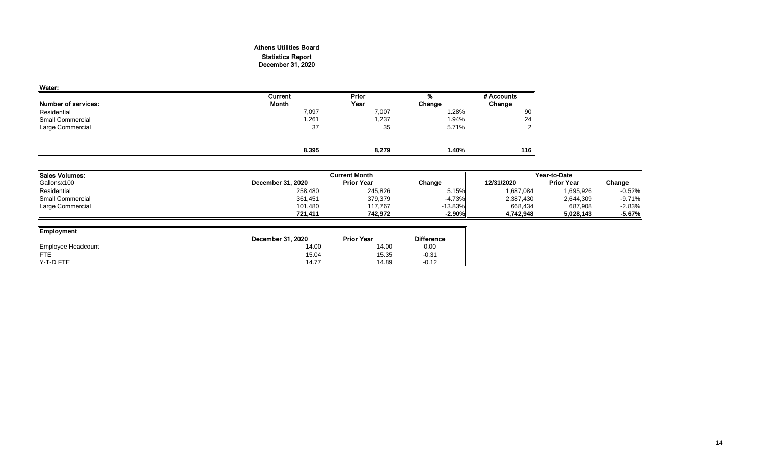### Athens Utilities Board Statistics Report December 31, 2020

| Water:              |              |              |        |                |
|---------------------|--------------|--------------|--------|----------------|
|                     | Current      | <b>Prior</b> | %      | # Accounts     |
| Number of services: | <b>Month</b> | Year         | Change | Change         |
| Residential         | 7,097        | 7,007        | 1.28%  | 90             |
| Small Commercial    | ,261         | 1,237        | 1.94%  | 24             |
| Large Commercial    | 37           | 35           | 5.71%  | 2 <sub>1</sub> |
|                     |              |              |        |                |
|                     | 8,395        | 8,279        | 1.40%  | 116            |

| Sales Volumes:          |                          | <b>Current Month</b> |            | Year-to-Date |                   |           |  |  |
|-------------------------|--------------------------|----------------------|------------|--------------|-------------------|-----------|--|--|
| Gallonsx100             | <b>December 31, 2020</b> | <b>Prior Year</b>    | Change     | 12/31/2020   | <b>Prior Year</b> | Change    |  |  |
| Residential             | 258,480                  | 245,826              | 5.15%      | 1,687,084    | 1,695,926         | $-0.52%$  |  |  |
| <b>Small Commercial</b> | 361,451                  | 379,379              | $-4.73\%$  | 2,387,430    | 2,644,309         | $-9.71%$  |  |  |
| Large Commercial        | 101.480                  | 117,767              | $-13.83\%$ | 668,434      | 687,908           | $-2.83\%$ |  |  |
|                         | 721,411                  | 742,972              | $-2.90\%$  | 4,742,948    | 5,028,143         | $-5.67%$  |  |  |

| <b>Employment</b>  |                   |                   |         |
|--------------------|-------------------|-------------------|---------|
|                    | December 31, 2020 | <b>Prior Year</b> |         |
| Employee Headcount | 14.00             | 14.00             | 0.00    |
| <b>IFTE</b>        | 15.04             | 15.35             | $-0.31$ |
| $Y-T-D$ FTE        | 14.77             | 14.89             | $-0.12$ |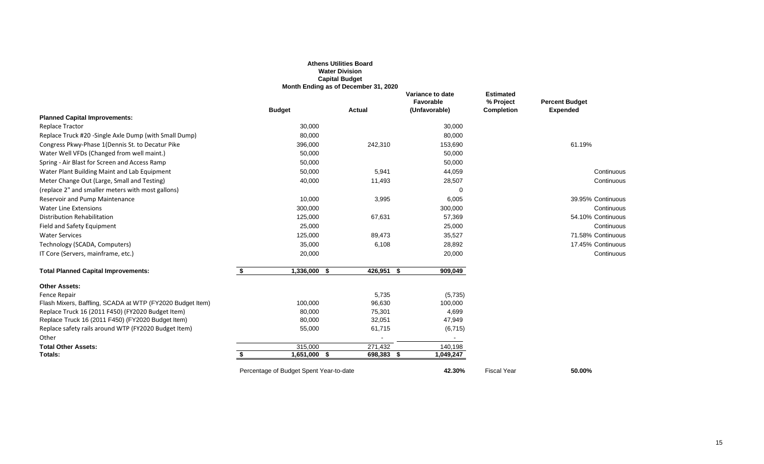# **Favorable % Project Percent Budget**

|                                                           |                      | <b>Athens Utilities Board</b><br><b>Water Division</b><br><b>Capital Budget</b><br>Month Ending as of December 31, 2020 |                                                |                                                    |                                          |
|-----------------------------------------------------------|----------------------|-------------------------------------------------------------------------------------------------------------------------|------------------------------------------------|----------------------------------------------------|------------------------------------------|
|                                                           | <b>Budget</b>        | <b>Actual</b>                                                                                                           | Variance to date<br>Favorable<br>(Unfavorable) | <b>Estimated</b><br>% Project<br><b>Completion</b> | <b>Percent Budget</b><br><b>Expended</b> |
| <b>Planned Capital Improvements:</b>                      |                      |                                                                                                                         |                                                |                                                    |                                          |
| <b>Replace Tractor</b>                                    | 30,000               |                                                                                                                         | 30,000                                         |                                                    |                                          |
| Replace Truck #20 -Single Axle Dump (with Small Dump)     | 80,000               |                                                                                                                         | 80,000                                         |                                                    |                                          |
| Congress Pkwy-Phase 1(Dennis St. to Decatur Pike          | 396,000              | 242,310                                                                                                                 | 153,690                                        |                                                    | 61.19%                                   |
| Water Well VFDs (Changed from well maint.)                | 50,000               |                                                                                                                         | 50,000                                         |                                                    |                                          |
| Spring - Air Blast for Screen and Access Ramp             | 50,000               |                                                                                                                         | 50,000                                         |                                                    |                                          |
| Water Plant Building Maint and Lab Equipment              | 50,000               | 5,941                                                                                                                   | 44,059                                         |                                                    | Continuous                               |
| Meter Change Out (Large, Small and Testing)               | 40,000               | 11,493                                                                                                                  | 28,507                                         |                                                    | Continuous                               |
| (replace 2" and smaller meters with most gallons)         |                      |                                                                                                                         | $\Omega$                                       |                                                    |                                          |
| Reservoir and Pump Maintenance                            | 10,000               | 3,995                                                                                                                   | 6,005                                          |                                                    | 39.95% Continuous                        |
| <b>Water Line Extensions</b>                              | 300,000              |                                                                                                                         | 300,000                                        |                                                    | Continuous                               |
| <b>Distribution Rehabilitation</b>                        | 125,000              | 67,631                                                                                                                  | 57,369                                         |                                                    | 54.10% Continuous                        |
| Field and Safety Equipment                                | 25,000               |                                                                                                                         | 25,000                                         |                                                    | Continuous                               |
| <b>Water Services</b>                                     | 125,000              | 89,473                                                                                                                  | 35,527                                         |                                                    | 71.58% Continuous                        |
| Technology (SCADA, Computers)                             | 35,000               | 6,108                                                                                                                   | 28,892                                         |                                                    | 17.45% Continuous                        |
| IT Core (Servers, mainframe, etc.)                        | 20,000               |                                                                                                                         | 20,000                                         |                                                    | Continuous                               |
| <b>Total Planned Capital Improvements:</b>                | $1,336,000$ \$<br>\$ | $426,951$ \$                                                                                                            | 909,049                                        |                                                    |                                          |
| <b>Other Assets:</b>                                      |                      |                                                                                                                         |                                                |                                                    |                                          |
| <b>Fence Repair</b>                                       |                      | 5,735                                                                                                                   | (5,735)                                        |                                                    |                                          |
| Flash Mixers, Baffling, SCADA at WTP (FY2020 Budget Item) | 100,000              | 96,630                                                                                                                  | 100,000                                        |                                                    |                                          |
| Replace Truck 16 (2011 F450) (FY2020 Budget Item)         | 80,000               | 75,301                                                                                                                  | 4,699                                          |                                                    |                                          |
| Replace Truck 16 (2011 F450) (FY2020 Budget Item)         | 80,000               | 32,051                                                                                                                  | 47,949                                         |                                                    |                                          |
| Replace safety rails around WTP (FY2020 Budget Item)      | 55,000               | 61,715                                                                                                                  | (6, 715)                                       |                                                    |                                          |
| Other                                                     |                      |                                                                                                                         | $\sim$                                         |                                                    |                                          |
| <b>Total Other Assets:</b>                                | 315,000              | 271,432                                                                                                                 | 140,198                                        |                                                    |                                          |
| Totals:                                                   | 1,651,000 \$         | 698,383                                                                                                                 | 1,049,247<br>- 55                              |                                                    |                                          |

Percentage of Budget Spent Year-to-date **42.30%** Fiscal Year **50.00%**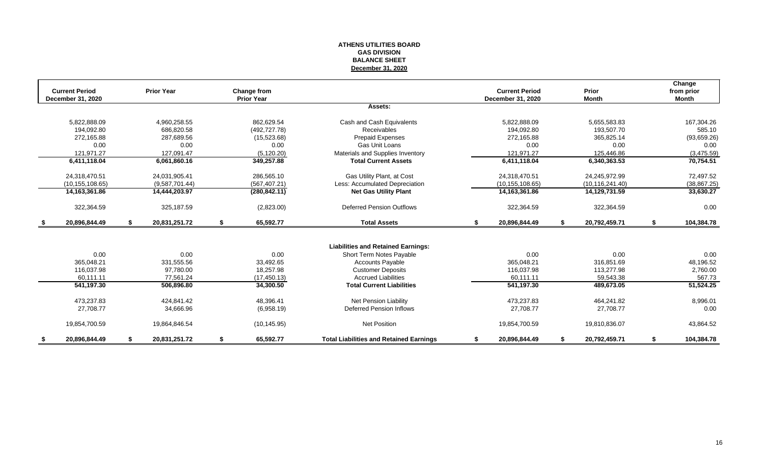#### **ATHENS UTILITIES BOARD GAS DIVISION BALANCE SHEET December 31, 2020**

|     | <b>Current Period</b>    |    | <b>Prior Year</b> |    | <b>Change from</b> |                                                |    | <b>Current Period</b>    |   | Prior             |    | Change<br>from prior |
|-----|--------------------------|----|-------------------|----|--------------------|------------------------------------------------|----|--------------------------|---|-------------------|----|----------------------|
|     | <b>December 31, 2020</b> |    |                   |    | <b>Prior Year</b>  |                                                |    | <b>December 31, 2020</b> |   | <b>Month</b>      |    | <b>Month</b>         |
|     |                          |    |                   |    |                    | Assets:                                        |    |                          |   |                   |    |                      |
|     | 5,822,888.09             |    | 4,960,258.55      |    | 862,629.54         | Cash and Cash Equivalents                      |    | 5,822,888.09             |   | 5,655,583.83      |    | 167,304.26           |
|     | 194,092.80               |    | 686,820.58        |    | (492, 727.78)      | Receivables                                    |    | 194,092.80               |   | 193,507.70        |    | 585.10               |
|     | 272,165.88               |    | 287,689.56        |    | (15,523.68)        | <b>Prepaid Expenses</b>                        |    | 272,165.88               |   | 365,825.14        |    | (93,659.26)          |
|     | 0.00                     |    | 0.00              |    | 0.00               | <b>Gas Unit Loans</b>                          |    | 0.00                     |   | 0.00              |    | 0.00                 |
|     | 121,971.27               |    | 127,091.47        |    | (5, 120.20)        | Materials and Supplies Inventory               |    | 121,971.27               |   | 125,446.86        |    | (3,475.59)           |
|     | 6,411,118.04             |    | 6,061,860.16      |    | 349,257.88         | <b>Total Current Assets</b>                    |    | 6,411,118.04             |   | 6,340,363.53      |    | 70,754.51            |
|     | 24,318,470.51            |    | 24,031,905.41     |    | 286,565.10         | Gas Utility Plant, at Cost                     |    | 24,318,470.51            |   | 24,245,972.99     |    | 72,497.52            |
|     | (10, 155, 108.65)        |    | (9,587,701.44)    |    | (567, 407.21)      | Less: Accumulated Depreciation                 |    | (10, 155, 108.65)        |   | (10, 116, 241.40) |    | (38, 867.25)         |
|     | 14, 163, 361.86          |    | 14,444,203.97     |    | (280, 842.11)      | <b>Net Gas Utility Plant</b>                   |    | 14, 163, 361.86          |   | 14,129,731.59     |    | 33,630.27            |
|     | 322,364.59               |    | 325,187.59        |    | (2,823.00)         | <b>Deferred Pension Outflows</b>               |    | 322,364.59               |   | 322,364.59        |    | 0.00                 |
| \$  | 20,896,844.49            | S. | 20,831,251.72     | \$ | 65,592.77          | <b>Total Assets</b>                            | S. | 20,896,844.49            | S | 20,792,459.71     | S. | 104,384.78           |
|     |                          |    |                   |    |                    |                                                |    |                          |   |                   |    |                      |
|     |                          |    |                   |    |                    | <b>Liabilities and Retained Earnings:</b>      |    |                          |   |                   |    |                      |
|     | 0.00                     |    | 0.00              |    | 0.00               | Short Term Notes Payable                       |    | 0.00                     |   | 0.00              |    | 0.00                 |
|     | 365,048.21               |    | 331,555.56        |    | 33,492.65          | <b>Accounts Payable</b>                        |    | 365,048.21               |   | 316,851.69        |    | 48,196.52            |
|     | 116,037.98               |    | 97,780.00         |    | 18,257.98          | <b>Customer Deposits</b>                       |    | 116,037.98               |   | 113,277.98        |    | 2,760.00             |
|     | 60,111.11                |    | 77,561.24         |    | (17, 450.13)       | <b>Accrued Liabilities</b>                     |    | 60,111.11                |   | 59,543.38         |    | 567.73               |
|     | 541,197.30               |    | 506,896.80        |    | 34,300.50          | <b>Total Current Liabilities</b>               |    | 541,197.30               |   | 489,673.05        |    | 51,524.25            |
|     | 473,237.83               |    | 424,841.42        |    | 48,396.41          | Net Pension Liability                          |    | 473,237.83               |   | 464,241.82        |    | 8,996.01             |
|     | 27,708.77                |    | 34,666.96         |    | (6,958.19)         | <b>Deferred Pension Inflows</b>                |    | 27,708.77                |   | 27,708.77         |    | 0.00                 |
|     | 19,854,700.59            |    | 19,864,846.54     |    | (10, 145.95)       | <b>Net Position</b>                            |    | 19,854,700.59            |   | 19,810,836.07     |    | 43,864.52            |
| - 5 | 20,896,844.49            | -S | 20,831,251.72     | S. | 65,592.77          | <b>Total Liabilities and Retained Earnings</b> |    | 20,896,844.49            |   | 20,792,459.71     | S  | 104,384.78           |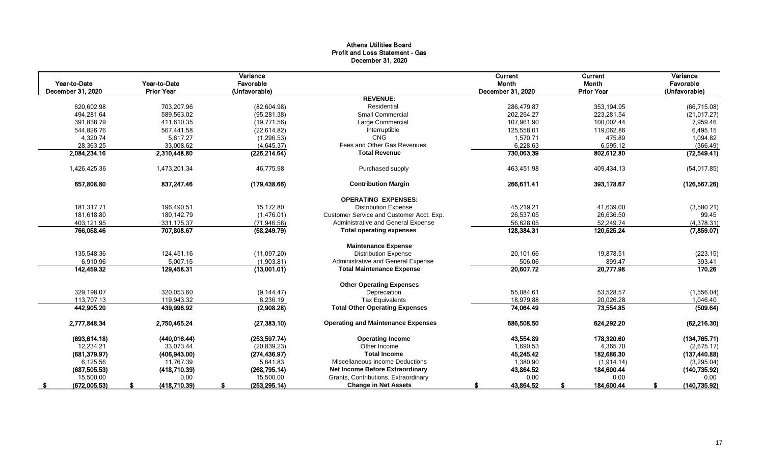#### Athens Utilities Board Profit and Loss Statement - Gas December 31, 2020

| Year-to-Date<br>December 31, 2020 | Year-to-Date<br><b>Prior Year</b> | Variance<br>Favorable<br>(Unfavorable) |                                           | <b>Current</b><br>Month<br>December 31, 2020 | Current<br>Month<br><b>Prior Year</b> | Variance<br>Favorable<br>(Unfavorable) |
|-----------------------------------|-----------------------------------|----------------------------------------|-------------------------------------------|----------------------------------------------|---------------------------------------|----------------------------------------|
|                                   |                                   |                                        | <b>REVENUE:</b>                           |                                              |                                       |                                        |
| 620,602.98                        | 703,207.96                        | (82,604.98)                            | Residential                               | 286,479.87                                   | 353,194.95                            | (66, 715.08)                           |
| 494,281.64                        | 589,563.02                        | (95, 281.38)                           | <b>Small Commercial</b>                   | 202,264.27                                   | 223,281.54                            | (21, 017.27)                           |
| 391,838.79                        | 411,610.35                        | (19,771.56)                            | Large Commercial                          | 107,961.90                                   | 100,002.44                            | 7,959.46                               |
| 544,826.76                        | 567,441.58                        | (22, 614.82)                           | Interruptible                             | 125,558.01                                   | 119,062.86                            | 6,495.15                               |
| 4,320.74                          | 5,617.27                          | (1, 296.53)                            | CNG                                       | 1,570.71                                     | 475.89                                | 1,094.82                               |
| 28,363.25                         | 33,008.62                         | (4,645.37)                             | Fees and Other Gas Revenues               | 6,228.63                                     | 6,595.12                              | (366.49)                               |
| 2,084,234.16                      | 2,310,448.80                      | (226, 214.64)                          | <b>Total Revenue</b>                      | 730,063.39                                   | 802,612.80                            | (72, 549.41)                           |
| 1,426,425.36                      | 1,473,201.34                      | 46,775.98                              | Purchased supply                          | 463,451.98                                   | 409,434.13                            | (54, 017.85)                           |
| 657,808.80                        | 837,247.46                        | (179, 438.66)                          | <b>Contribution Margin</b>                | 266,611.41                                   | 393,178.67                            | (126, 567.26)                          |
|                                   |                                   |                                        | <b>OPERATING EXPENSES:</b>                |                                              |                                       |                                        |
| 181,317.71                        | 196,490.51                        | 15,172.80                              | <b>Distribution Expense</b>               | 45,219.21                                    | 41,639.00                             | (3,580.21)                             |
| 181,618.80                        | 180,142.79                        | (1,476.01)                             | Customer Service and Customer Acct. Exp.  | 26,537.05                                    | 26,636.50                             | 99.45                                  |
| 403,121.95                        | 331,175.37                        | (71, 946.58)                           | Administrative and General Expense        | 56,628.05                                    | 52,249.74                             | (4,378.31)                             |
| 766,058.46                        | 707,808.67                        | (58, 249.79)                           | <b>Total operating expenses</b>           | 128,384.31                                   | 120,525.24                            | (7,859.07)                             |
|                                   |                                   |                                        | <b>Maintenance Expense</b>                |                                              |                                       |                                        |
| 135,548.36                        | 124,451.16                        | (11,097.20)                            | <b>Distribution Expense</b>               | 20,101.66                                    | 19,878.51                             | (223.15)                               |
| 6,910.96                          | 5,007.15                          | (1,903.81)                             | Administrative and General Expense        | 506.06                                       | 899.47                                | 393.41                                 |
| 142,459.32                        | 129,458.31                        | (13,001.01)                            | <b>Total Maintenance Expense</b>          | 20,607.72                                    | 20,777.98                             | 170.26                                 |
|                                   |                                   |                                        | <b>Other Operating Expenses</b>           |                                              |                                       |                                        |
| 329,198.07                        | 320,053.60                        | (9, 144.47)                            | Depreciation                              | 55,084.61                                    | 53,528.57                             | (1,556.04)                             |
| 113,707.13                        | 119,943.32                        | 6,236.19                               | <b>Tax Equivalents</b>                    | 18,979.88                                    | 20,026.28                             | 1,046.40                               |
| 442,905.20                        | 439,996.92                        | (2,908.28)                             | <b>Total Other Operating Expenses</b>     | 74,064.49                                    | 73,554.85                             | (509.64)                               |
| 2,777,848.34                      | 2,750,465.24                      | (27, 383.10)                           | <b>Operating and Maintenance Expenses</b> | 686,508.50                                   | 624,292.20                            | (62, 216.30)                           |
| (693, 614.18)                     | (440, 016.44)                     | (253, 597.74)                          | <b>Operating Income</b>                   | 43,554.89                                    | 178,320.60                            | (134, 765.71)                          |
| 12,234.21                         | 33,073.44                         | (20, 839.23)                           | Other Income                              | 1,690.53                                     | 4,365.70                              | (2,675.17)                             |
| (681, 379.97)                     | (406, 943.00)                     | (274, 436.97)                          | <b>Total Income</b>                       | 45,245.42                                    | 182,686.30                            | (137, 440.88)                          |
| 6,125.56                          | 11,767.39                         | 5,641.83                               | <b>Miscellaneous Income Deductions</b>    | 1,380.90                                     | (1,914.14)                            | (3,295.04)                             |
| (687, 505.53)                     | (418,710.39)                      | (268, 795.14)                          | <b>Net Income Before Extraordinary</b>    | 43,864.52                                    | 184,600.44                            | (140, 735.92)                          |
| 15,500.00                         | 0.00                              | 15,500.00                              | Grants, Contributions, Extraordinary      | 0.00                                         | 0.00                                  | 0.00                                   |
| (672,005.53)<br>S.                | (418,710.39)                      | (253, 295.14)<br>S                     | <b>Change in Net Assets</b>               | 43,864.52                                    | 184,600.44<br>\$                      | (140, 735.92)<br>£.                    |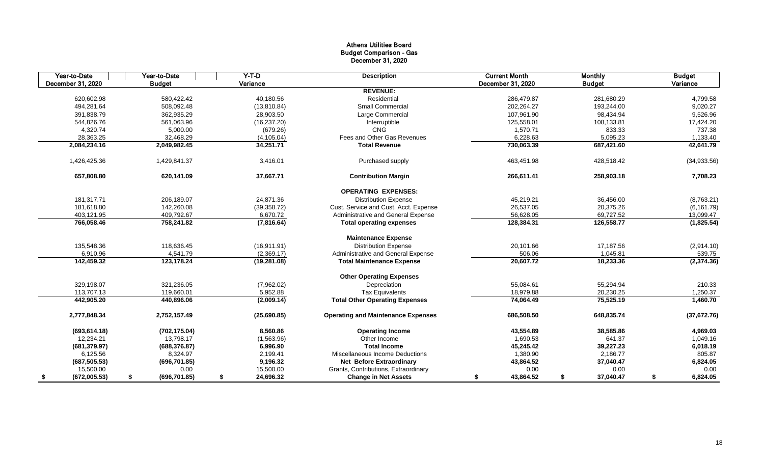| Year-to-Date       | Year-to-Date        | $Y-T-D$         | <b>Description</b>                        | <b>Current Month</b> | <b>Monthly</b> | <b>Budget</b>  |
|--------------------|---------------------|-----------------|-------------------------------------------|----------------------|----------------|----------------|
| December 31, 2020  | <b>Budget</b>       | Variance        |                                           | December 31, 2020    | <b>Budget</b>  | Variance       |
|                    |                     |                 | <b>REVENUE:</b>                           |                      |                |                |
| 620,602.98         | 580,422.42          | 40,180.56       | Residential                               | 286,479.87           | 281,680.29     | 4,799.58       |
| 494,281.64         | 508,092.48          | (13,810.84)     | Small Commercial                          | 202,264.27           | 193,244.00     | 9,020.27       |
| 391,838.79         | 362,935.29          | 28,903.50       | Large Commercial                          | 107,961.90           | 98,434.94      | 9,526.96       |
| 544,826.76         | 561,063.96          | (16, 237.20)    | Interruptible                             | 125,558.01           | 108,133.81     | 17,424.20      |
| 4,320.74           | 5,000.00            | (679.26)        | <b>CNG</b>                                | 1,570.71             | 833.33         | 737.38         |
| 28,363.25          | 32,468.29           | (4, 105.04)     | Fees and Other Gas Revenues               | 6,228.63             | 5,095.23       | 1,133.40       |
| 2,084,234.16       | 2,049,982.45        | 34,251.71       | <b>Total Revenue</b>                      | 730,063.39           | 687,421.60     | 42,641.79      |
| 1,426,425.36       | 1,429,841.37        | 3,416.01        | Purchased supply                          | 463,451.98           | 428,518.42     | (34,933.56)    |
| 657,808.80         | 620,141.09          | 37,667.71       | <b>Contribution Margin</b>                | 266,611.41           | 258,903.18     | 7,708.23       |
|                    |                     |                 | <b>OPERATING EXPENSES:</b>                |                      |                |                |
| 181,317.71         | 206,189.07          | 24,871.36       | <b>Distribution Expense</b>               | 45,219.21            | 36,456.00      | (8,763.21)     |
| 181,618.80         | 142,260.08          | (39, 358.72)    | Cust. Service and Cust. Acct. Expense     | 26,537.05            | 20,375.26      | (6, 161.79)    |
| 403,121.95         | 409,792.67          | 6,670.72        | Administrative and General Expense        | 56,628.05            | 69,727.52      | 13,099.47      |
| 766,058.46         | 758,241.82          | (7,816.64)      | <b>Total operating expenses</b>           | 128,384.31           | 126,558.77     | (1,825.54)     |
|                    |                     |                 | <b>Maintenance Expense</b>                |                      |                |                |
| 135,548.36         | 118,636.45          | (16, 911.91)    | <b>Distribution Expense</b>               | 20,101.66            | 17,187.56      | (2,914.10)     |
| 6,910.96           | 4,541.79            | (2,369.17)      | <b>Administrative and General Expense</b> | 506.06               | 1,045.81       | 539.75         |
| 142,459.32         | 123,178.24          | (19, 281.08)    | <b>Total Maintenance Expense</b>          | 20,607.72            | 18,233.36      | (2,374.36)     |
|                    |                     |                 | <b>Other Operating Expenses</b>           |                      |                |                |
| 329,198.07         | 321,236.05          | (7,962.02)      | Depreciation                              | 55,084.61            | 55,294.94      | 210.33         |
| 113,707.13         | 119,660.01          | 5,952.88        | <b>Tax Equivalents</b>                    | 18,979.88            | 20,230.25      | 1,250.37       |
| 442,905.20         | 440,896.06          | (2,009.14)      | <b>Total Other Operating Expenses</b>     | 74,064.49            | 75,525.19      | 1,460.70       |
| 2,777,848.34       | 2,752,157.49        | (25,690.85)     | <b>Operating and Maintenance Expenses</b> | 686,508.50           | 648,835.74     | (37, 672.76)   |
| (693, 614.18)      | (702, 175.04)       | 8,560.86        | <b>Operating Income</b>                   | 43,554.89            | 38,585.86      | 4,969.03       |
| 12,234.21          | 13,798.17           | (1,563.96)      | Other Income                              | 1,690.53             | 641.37         | 1,049.16       |
| (681, 379.97)      | (688, 376.87)       | 6,996.90        | <b>Total Income</b>                       | 45,245.42            | 39,227.23      | 6,018.19       |
| 6,125.56           | 8,324.97            | 2,199.41        | Miscellaneous Income Deductions           | 1,380.90             | 2,186.77       | 805.87         |
| (687, 505.53)      | (696, 701.85)       | 9,196.32        | <b>Net Before Extraordinary</b>           | 43,864.52            | 37,040.47      | 6,824.05       |
| 15,500.00          | 0.00                | 15,500.00       | Grants, Contributions, Extraordinary      | 0.00                 | 0.00           | 0.00           |
| (672,005.53)<br>\$ | (696, 701.85)<br>\$ | 24,696.32<br>\$ | <b>Change in Net Assets</b>               | 43,864.52<br>\$      | 37,040.47<br>S | 6,824.05<br>\$ |

| <b>Monthly</b> | <b>Budget</b>  |  |
|----------------|----------------|--|
| <b>Budget</b>  | Variance       |  |
|                |                |  |
| 281,680.29     | 4,799.58       |  |
| 193,244.00     | 9,020.27       |  |
| 98,434.94      | 9,526.96       |  |
| 108,133.81     | 17,424.20      |  |
| 833.33         | 737.38         |  |
| 5,095.23       | 1,133.40       |  |
| 687,421.60     | 42,641.79      |  |
| 428,518.42     | (34, 933.56)   |  |
| 258,903.18     | 7,708.23       |  |
|                |                |  |
| 36,456.00      | (8,763.21)     |  |
| 20,375.26      | (6, 161.79)    |  |
| 69,727.52      | 13,099.47      |  |
| 126,558.77     | (1,825.54)     |  |
|                |                |  |
| 17,187.56      | (2,914.10)     |  |
| 1,045.81       | 539.75         |  |
| 18,233.36      | (2,374.36)     |  |
|                |                |  |
| 55,294.94      | 210.33         |  |
| 20,230.25      | 1,250.37       |  |
| 75,525.19      | 1,460.70       |  |
| 648,835.74     | (37, 672.76)   |  |
| 38,585.86      | 4,969.03       |  |
| 641.37         | 1,049.16       |  |
| 39,227.23      | 6,018.19       |  |
| 2,186.77       | 805.87         |  |
| 37,040.47      | 6,824.05       |  |
| 0.00           | 0.00           |  |
| 37,040.47      | \$<br>6,824.05 |  |

#### Athens Utilities Board Budget Comparison - Gas December 31, 2020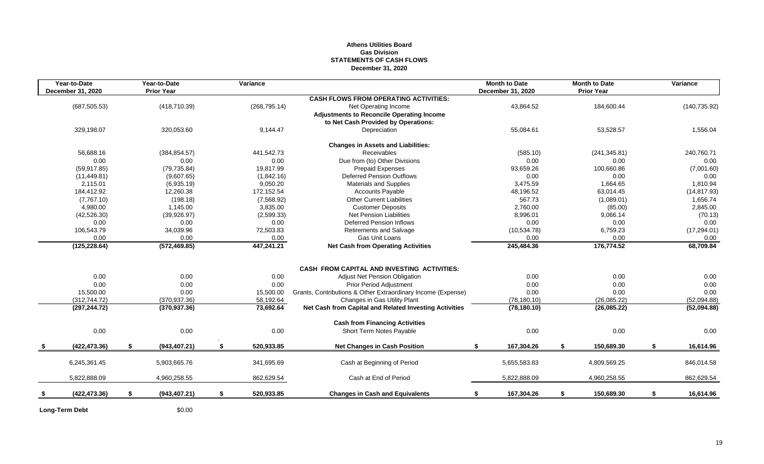#### **Athens Utilities Board Gas Division STATEMENTS OF CASH FLOWS December 31, 2020**

|      | Year-to-Date<br>December 31, 2020 |    | Year-to-Date<br><b>Prior Year</b> |      | Variance      |                                                                                         |    | <b>Month to Date</b><br>December 31, 2020 |    | <b>Month to Date</b><br><b>Prior Year</b> |    | Variance      |
|------|-----------------------------------|----|-----------------------------------|------|---------------|-----------------------------------------------------------------------------------------|----|-------------------------------------------|----|-------------------------------------------|----|---------------|
|      |                                   |    |                                   |      |               | <b>CASH FLOWS FROM OPERATING ACTIVITIES:</b>                                            |    |                                           |    |                                           |    |               |
|      | (687, 505.53)                     |    | (418, 710.39)                     |      | (268, 795.14) | Net Operating Income                                                                    |    | 43,864.52                                 |    | 184,600.44                                |    | (140, 735.92) |
|      |                                   |    |                                   |      |               | <b>Adjustments to Reconcile Operating Income</b><br>to Net Cash Provided by Operations: |    |                                           |    |                                           |    |               |
|      | 329,198.07                        |    | 320,053.60                        |      | 9,144.47      | Depreciation                                                                            |    | 55,084.61                                 |    | 53,528.57                                 |    | 1,556.04      |
|      |                                   |    |                                   |      |               | <b>Changes in Assets and Liabilities:</b>                                               |    |                                           |    |                                           |    |               |
|      | 56,688.16                         |    | (384, 854.57)                     |      | 441,542.73    | Receivables                                                                             |    | (585.10)                                  |    | (241, 345.81)                             |    | 240,760.71    |
|      | 0.00                              |    | 0.00                              |      | 0.00          | Due from (to) Other Divisions                                                           |    | 0.00                                      |    | 0.00                                      |    | 0.00          |
|      | (59, 917.85)                      |    | (79, 735.84)                      |      | 19,817.99     | <b>Prepaid Expenses</b>                                                                 |    | 93,659.26                                 |    | 100,660.86                                |    | (7,001.60)    |
|      | (11, 449.81)                      |    | (9,607.65)                        |      | (1,842.16)    | <b>Deferred Pension Outflows</b>                                                        |    | 0.00                                      |    | 0.00                                      |    | 0.00          |
|      | 2,115.01                          |    | (6,935.19)                        |      | 9,050.20      | <b>Materials and Supplies</b>                                                           |    | 3,475.59                                  |    | 1,664.65                                  |    | 1,810.94      |
|      | 184,412.92                        |    | 12,260.38                         |      | 172,152.54    | <b>Accounts Payable</b>                                                                 |    | 48,196.52                                 |    | 63,014.45                                 |    | (14, 817.93)  |
|      | (7,767.10)                        |    | (198.18)                          |      | (7,568.92)    | <b>Other Current Liabilities</b>                                                        |    | 567.73                                    |    | (1,089.01)                                |    | 1,656.74      |
|      | 4,980.00                          |    | 1,145.00                          |      | 3,835.00      | <b>Customer Deposits</b>                                                                |    | 2,760.00                                  |    | (85.00)                                   |    | 2,845.00      |
|      | (42,526.30)                       |    | (39, 926.97)                      |      | (2,599.33)    | <b>Net Pension Liabilities</b>                                                          |    | 8,996.01                                  |    | 9,066.14                                  |    | (70.13)       |
|      | 0.00                              |    | 0.00                              |      | 0.00          | <b>Deferred Pension Inflows</b>                                                         |    | 0.00                                      |    | 0.00                                      |    | 0.00          |
|      | 106,543.79                        |    | 34,039.96                         |      | 72,503.83     | <b>Retirements and Salvage</b>                                                          |    | (10, 534.78)                              |    | 6,759.23                                  |    | (17, 294.01)  |
|      | 0.00                              |    | 0.00                              |      | 0.00          | Gas Unit Loans                                                                          |    | 0.00                                      |    | 0.00                                      |    | 0.00          |
|      | (125, 228.64)                     |    | (572, 469.85)                     |      | 447,241.21    | <b>Net Cash from Operating Activities</b>                                               |    | 245,484.36                                |    | 176,774.52                                |    | 68,709.84     |
|      |                                   |    |                                   |      |               | <b>CASH FROM CAPITAL AND INVESTING ACTIVITIES:</b>                                      |    |                                           |    |                                           |    |               |
|      | 0.00                              |    | 0.00                              |      | 0.00          | Adjust Net Pension Obligation                                                           |    | 0.00                                      |    | 0.00                                      |    | 0.00          |
|      | 0.00                              |    | 0.00                              |      | 0.00          | <b>Prior Period Adjustment</b>                                                          |    | 0.00                                      |    | 0.00                                      |    | 0.00          |
|      | 15,500.00                         |    | 0.00                              |      | 15,500.00     | Grants, Contributions & Other Extraordinary Income (Expense)                            |    | 0.00                                      |    | 0.00                                      |    | 0.00          |
|      | (312, 744.72)                     |    | (370, 937.36)                     |      | 58,192.64     | Changes in Gas Utility Plant                                                            |    | (78, 180.10)                              |    | (26,085.22)                               |    | (52,094.88)   |
|      | (297, 244.72)                     |    | (370, 937.36)                     |      | 73,692.64     | Net Cash from Capital and Related Investing Activities                                  |    | (78, 180.10)                              |    | (26,085.22)                               |    | (52,094.88)   |
|      |                                   |    |                                   |      |               |                                                                                         |    |                                           |    |                                           |    |               |
|      |                                   |    |                                   |      |               | <b>Cash from Financing Activities</b>                                                   |    |                                           |    |                                           |    |               |
|      | 0.00                              |    | 0.00                              |      | 0.00          | Short Term Notes Payable                                                                |    | 0.00                                      |    | 0.00                                      |    | 0.00          |
| - \$ | (422, 473.36)                     | S. | (943, 407.21)                     | - 55 | 520,933.85    | <b>Net Changes in Cash Position</b>                                                     | -S | 167,304.26                                | S. | 150,689.30                                | S. | 16,614.96     |
|      |                                   |    |                                   |      |               |                                                                                         |    |                                           |    |                                           |    |               |
|      | 6,245,361.45                      |    | 5,903,665.76                      |      | 341,695.69    | Cash at Beginning of Period                                                             |    | 5,655,583.83                              |    | 4,809,569.25                              |    | 846,014.58    |
|      | 5,822,888.09                      |    | 4,960,258.55                      |      | 862,629.54    | Cash at End of Period                                                                   |    | 5,822,888.09                              |    | 4,960,258.55                              |    | 862,629.54    |
| \$   | (422, 473.36)                     | \$ | (943, 407.21)                     | \$   | 520,933.85    | <b>Changes in Cash and Equivalents</b>                                                  | S. | 167,304.26                                | S  | 150,689.30                                | Ŝ. | 16,614.96     |
|      | <b>Long-Term Debt</b>             |    | \$0.00                            |      |               |                                                                                         |    |                                           |    |                                           |    |               |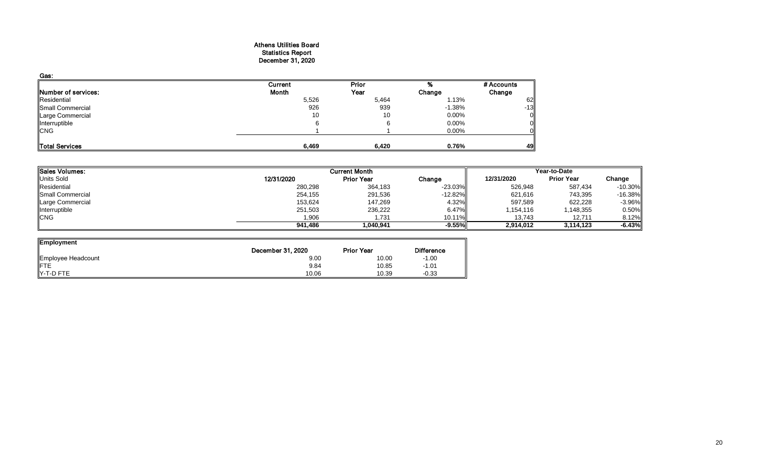#### Athens Utilities Board Statistics Report December 31, 2020

| Gas:                  |         |       |          |                |
|-----------------------|---------|-------|----------|----------------|
|                       | Current | Prior |          | # Accounts     |
| Number of services:   | Month   | Year  | Change   | Change         |
| Residential           | 5,526   | 5,464 | 1.13%    | 62             |
| Small Commercial      | 926     | 939   | $-1.38%$ | $-13$          |
| Large Commercial      | 10      | 10    | 0.00%    | $\overline{O}$ |
| Interruptible         |         |       | 0.00%    | $\overline{O}$ |
| <b>CNG</b>            |         |       | 0.00%    | Οl             |
|                       |         |       |          |                |
| <b>Total Services</b> | 6,469   | 6,420 | 0.76%    | 49             |

| Sales Volumes:   | <b>Current Month</b><br>Year-to-Date |                   |            |            |                   |            |
|------------------|--------------------------------------|-------------------|------------|------------|-------------------|------------|
| Units Sold       | 12/31/2020                           | <b>Prior Year</b> | Change     | 12/31/2020 | <b>Prior Year</b> | Change     |
| Residential      | 280,298                              | 364,183           | $-23.03%$  | 526,948    | 587,434           | $-10.30\%$ |
| Small Commercial | 254,155                              | 291,536           | $-12.82\%$ | 621,616    | 743,395           | $-16.38\%$ |
| Large Commercial | 153,624                              | 147,269           | 4.32%      | 597,589    | 622,228           | $-3.96%$   |
| Interruptible    | 251,503                              | 236,222           | 6.47%      | 1,154,116  | 1,148,355         | 0.50%      |
| <b>CNG</b>       | 1,906                                | 1,731             | 10.11%     | 13,743     | 12,711            | 8.12%      |
|                  | 941,486                              | 1,040,941         | $-9.55%$   | 2,914,012  | 3,114,123         | $-6.43%$   |
|                  |                                      |                   |            |            |                   |            |

| ∥Employment        | December 31, 2020 | <b>Prior Year</b> | <b>Difference</b> |
|--------------------|-------------------|-------------------|-------------------|
| Employee Headcount | 9.00              | 10.00             | $-1.00$           |
| <b>FTE</b>         | 9.84              | 10.85             | $-1.01$           |
| Y-T-D FTE          | 10.06             | 10.39             | $-0.33$           |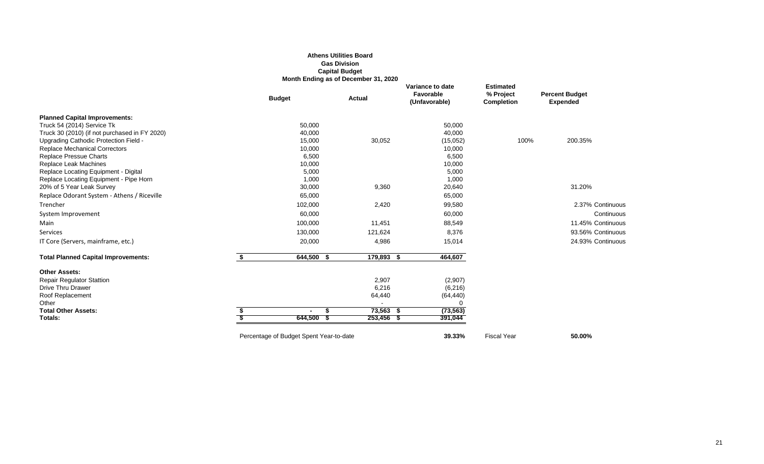|                                                                                | <b>Athens Utilities Board</b><br><b>Gas Division</b><br><b>Capital Budget</b><br>Month Ending as of December 31, 2020 |               |                                                |                                                    |                                          |  |
|--------------------------------------------------------------------------------|-----------------------------------------------------------------------------------------------------------------------|---------------|------------------------------------------------|----------------------------------------------------|------------------------------------------|--|
|                                                                                | <b>Budget</b>                                                                                                         | <b>Actual</b> | Variance to date<br>Favorable<br>(Unfavorable) | <b>Estimated</b><br>% Project<br><b>Completion</b> | <b>Percent Budget</b><br><b>Expended</b> |  |
| <b>Planned Capital Improvements:</b>                                           |                                                                                                                       |               |                                                |                                                    |                                          |  |
| Truck 54 (2014) Service Tk                                                     | 50,000                                                                                                                |               | 50,000                                         |                                                    |                                          |  |
| Truck 30 (2010) (if not purchased in FY 2020)                                  | 40,000                                                                                                                |               | 40,000                                         |                                                    |                                          |  |
| Upgrading Cathodic Protection Field -                                          | 15,000                                                                                                                | 30,052        | (15,052)                                       | 100%                                               | 200.35%                                  |  |
| <b>Replace Mechanical Correctors</b>                                           | 10,000                                                                                                                |               | 10,000                                         |                                                    |                                          |  |
| <b>Replace Pressue Charts</b>                                                  | 6,500                                                                                                                 |               | 6,500                                          |                                                    |                                          |  |
| Replace Leak Machines                                                          | 10,000                                                                                                                |               | 10,000                                         |                                                    |                                          |  |
| Replace Locating Equipment - Digital<br>Replace Locating Equipment - Pipe Horn | 5,000<br>1,000                                                                                                        |               | 5,000<br>1,000                                 |                                                    |                                          |  |
| 20% of 5 Year Leak Survey                                                      | 30,000                                                                                                                | 9,360         | 20,640                                         |                                                    | 31.20%                                   |  |
| Replace Odorant System - Athens / Riceville                                    | 65,000                                                                                                                |               | 65,000                                         |                                                    |                                          |  |
| Trencher                                                                       | 102,000                                                                                                               | 2,420         | 99,580                                         |                                                    | 2.37% Continuous                         |  |
| System Improvement                                                             | 60,000                                                                                                                |               | 60,000                                         |                                                    | Continuous                               |  |
|                                                                                |                                                                                                                       |               |                                                |                                                    | 11.45% Continuous                        |  |
| Main                                                                           | 100,000                                                                                                               | 11,451        | 88,549                                         |                                                    |                                          |  |
| Services                                                                       | 130,000                                                                                                               | 121,624       | 8,376                                          |                                                    | 93.56% Continuous                        |  |
| IT Core (Servers, mainframe, etc.)                                             | 20,000                                                                                                                | 4,986         | 15,014                                         |                                                    | 24.93% Continuous                        |  |
| <b>Total Planned Capital Improvements:</b>                                     | \$<br>$644,500$ \$                                                                                                    | 179,893 \$    | 464,607                                        |                                                    |                                          |  |
| <b>Other Assets:</b>                                                           |                                                                                                                       |               |                                                |                                                    |                                          |  |
| <b>Repair Regulator Stattion</b>                                               |                                                                                                                       | 2,907         | (2,907)                                        |                                                    |                                          |  |
| Drive Thru Drawer                                                              |                                                                                                                       | 6,216         | (6, 216)                                       |                                                    |                                          |  |
| Roof Replacement                                                               |                                                                                                                       | 64,440        | (64, 440)                                      |                                                    |                                          |  |
| Other                                                                          |                                                                                                                       |               | 0                                              |                                                    |                                          |  |
| <b>Total Other Assets:</b>                                                     | \$                                                                                                                    | $73,563$ \$   | (73, 563)                                      |                                                    |                                          |  |
| Totals:                                                                        | 644,500                                                                                                               | $253,456$ \$  | 391,044                                        |                                                    |                                          |  |
|                                                                                |                                                                                                                       |               |                                                |                                                    |                                          |  |

Percentage of Budget Spent Year-to-date **39.33%** Fiscal Year **50.00%** 

## **it Budget<br>ended**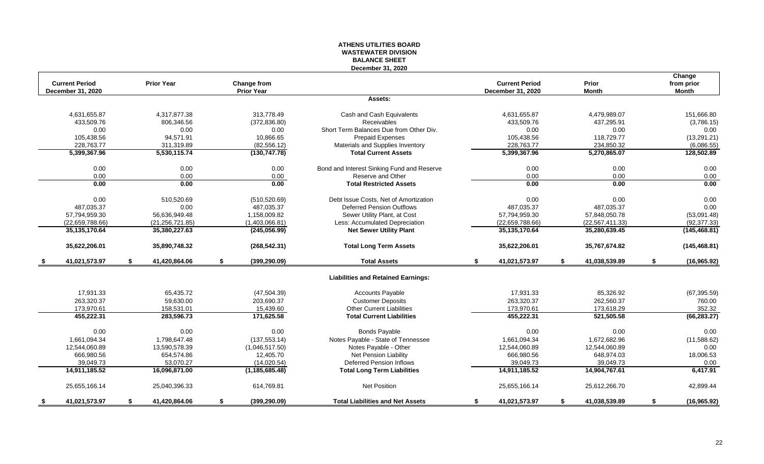#### **ATHENS UTILITIES BOARD WASTEWATER DIVISION BALANCE SHEET December 31, 2020**

| <b>Current Period</b> | <b>Prior Year</b>   | <b>Change from</b>  |                                            | <b>Current Period</b>    | <b>Prior</b>        | Change<br>from prior |
|-----------------------|---------------------|---------------------|--------------------------------------------|--------------------------|---------------------|----------------------|
| December 31, 2020     |                     | <b>Prior Year</b>   |                                            | <b>December 31, 2020</b> | <b>Month</b>        | <b>Month</b>         |
|                       |                     |                     | Assets:                                    |                          |                     |                      |
| 4,631,655.87          | 4,317,877.38        | 313,778.49          | Cash and Cash Equivalents                  | 4,631,655.87             | 4,479,989.07        | 151,666.80           |
| 433,509.76            | 806,346.56          | (372, 836.80)       | Receivables                                | 433,509.76               | 437,295.91          | (3,786.15)           |
| 0.00                  | 0.00                | 0.00                | Short Term Balances Due from Other Div.    | 0.00                     | 0.00                | 0.00                 |
| 105,438.56            | 94,571.91           | 10,866.65           | <b>Prepaid Expenses</b>                    | 105,438.56               | 118,729.77          | (13, 291.21)         |
| 228,763.77            | 311,319.89          | (82, 556.12)        | Materials and Supplies Inventory           | 228,763.77               | 234,850.32          | (6,086.55)           |
| 5,399,367.96          | 5,530,115.74        | (130, 747.78)       | <b>Total Current Assets</b>                | 5,399,367.96             | 5,270,865.07        | 128,502.89           |
| 0.00                  | 0.00                | 0.00                | Bond and Interest Sinking Fund and Reserve | 0.00                     | 0.00                | 0.00                 |
| 0.00                  | 0.00                | 0.00                | Reserve and Other                          | 0.00                     | 0.00                | 0.00                 |
| 0.00                  | 0.00                | 0.00                | <b>Total Restricted Assets</b>             | 0.00                     | 0.00                | 0.00                 |
| 0.00                  | 510,520.69          | (510, 520.69)       | Debt Issue Costs, Net of Amortization      | 0.00                     | 0.00                | 0.00                 |
| 487,035.37            | 0.00                | 487,035.37          | <b>Deferred Pension Outflows</b>           | 487,035.37               | 487,035.37          | 0.00                 |
| 57,794,959.30         | 56,636,949.48       | 1,158,009.82        | Sewer Utility Plant, at Cost               | 57,794,959.30            | 57,848,050.78       | (53,091.48)          |
| (22,659,788.66)       | (21, 256, 721.85)   | (1,403,066.81)      | Less: Accumulated Depreciation             | (22,659,788.66)          | (22, 567, 411.33)   | (92, 377.33)         |
| 35,135,170.64         | 35,380,227.63       | (245,056.99)        | <b>Net Sewer Utility Plant</b>             | 35,135,170.64            | 35,280,639.45       | (145, 468.81)        |
| 35,622,206.01         | 35,890,748.32       | (268, 542.31)       | <b>Total Long Term Assets</b>              | 35,622,206.01            | 35,767,674.82       | (145, 468.81)        |
| 41,021,573.97<br>\$   | 41,420,864.06<br>\$ | \$<br>(399, 290.09) | <b>Total Assets</b>                        | 41,021,573.97<br>S.      | 41,038,539.89<br>\$ | \$<br>(16, 965.92)   |
|                       |                     |                     | <b>Liabilities and Retained Earnings:</b>  |                          |                     |                      |
| 17,931.33             | 65,435.72           | (47, 504.39)        | <b>Accounts Payable</b>                    | 17,931.33                | 85,326.92           | (67, 395.59)         |
| 263,320.37            | 59,630.00           | 203,690.37          | <b>Customer Deposits</b>                   | 263,320.37               | 262,560.37          | 760.00               |
| 173,970.61            | 158,531.01          | 15,439.60           | <b>Other Current Liabilities</b>           | 173,970.61               | 173,618.29          | 352.32               |
| 455,222.31            | 283,596.73          | 171,625.58          | <b>Total Current Liabilities</b>           | 455,222.31               | 521,505.58          | (66, 283.27)         |
| 0.00                  | 0.00                | 0.00                | <b>Bonds Payable</b>                       | 0.00                     | 0.00                | 0.00                 |
| 1,661,094.34          | 1,798,647.48        | (137, 553.14)       | Notes Payable - State of Tennessee         | 1,661,094.34             | 1,672,682.96        | (11,588.62)          |
| 12,544,060.89         | 13,590,578.39       | (1,046,517.50)      | Notes Payable - Other                      | 12,544,060.89            | 12,544,060.89       | 0.00                 |
| 666,980.56            | 654,574.86          | 12,405.70           | Net Pension Liability                      | 666,980.56               | 648,974.03          | 18,006.53            |
| 39,049.73             | 53,070.27           | (14,020.54)         | <b>Deferred Pension Inflows</b>            | 39,049.73                | 39,049.73           | 0.00                 |
| 14,911,185.52         | 16,096,871.00       | (1, 185, 685.48)    | <b>Total Long Term Liabilities</b>         | 14,911,185.52            | 14,904,767.61       | 6,417.91             |
| 25,655,166.14         | 25,040,396.33       | 614,769.81          | <b>Net Position</b>                        | 25,655,166.14            | 25,612,266.70       | 42,899.44            |
| 41,021,573.97<br>\$   | 41,420,864.06<br>\$ | (399, 290.09)<br>\$ | <b>Total Liabilities and Net Assets</b>    | 41,021,573.97<br>\$      | 41,038,539.89<br>\$ | (16, 965.92)<br>\$   |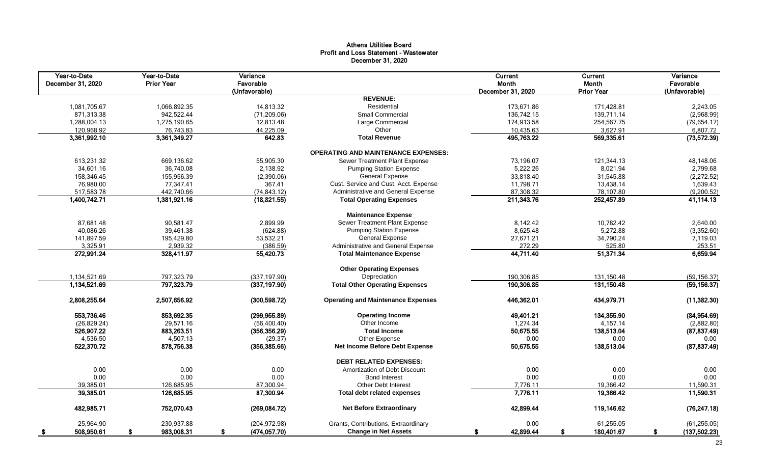#### Athens Utilities Board Profit and Loss Statement - Wastewater December 31, 2020

| Year-to-Date<br>December 31, 2020 | Year-to-Date<br><b>Prior Year</b> |              | Variance<br>Favorable |                                            | <b>Current</b><br>Month | <b>Current</b><br>Month | Variance<br>Favorable |
|-----------------------------------|-----------------------------------|--------------|-----------------------|--------------------------------------------|-------------------------|-------------------------|-----------------------|
|                                   |                                   |              | (Unfavorable)         | <b>REVENUE:</b>                            | December 31, 2020       | <b>Prior Year</b>       | (Unfavorable)         |
| 1,081,705.67                      |                                   | 1,066,892.35 | 14,813.32             | Residential                                | 173,671.86              | 171,428.81              | 2,243.05              |
| 871,313.38                        |                                   | 942,522.44   | (71, 209.06)          | Small Commercial                           | 136,742.15              | 139,711.14              | (2,968.99)            |
| 1,288,004.13                      |                                   | 1,275,190.65 | 12,813.48             | Large Commercial                           | 174,913.58              | 254,567.75              | (79, 654.17)          |
| 120,968.92                        |                                   | 76,743.83    | 44,225.09             | Other                                      | 10,435.63               | 3,627.91                | 6,807.72              |
| 3,361,992.10                      |                                   | 3,361,349.27 | 642.83                | <b>Total Revenue</b>                       | 495,763.22              | 569,335.61              | (73, 572.39)          |
|                                   |                                   |              |                       |                                            |                         |                         |                       |
|                                   |                                   |              |                       | <b>OPERATING AND MAINTENANCE EXPENSES:</b> |                         |                         |                       |
| 613,231.32                        |                                   | 669,136.62   | 55,905.30             | <b>Sewer Treatment Plant Expense</b>       | 73,196.07               | 121,344.13              | 48,148.06             |
| 34,601.16                         |                                   | 36,740.08    | 2,138.92              | <b>Pumping Station Expense</b>             | 5,222.26                | 8,021.94                | 2,799.68              |
| 158,346.45                        |                                   | 155,956.39   | (2,390.06)            | <b>General Expense</b>                     | 33,818.40               | 31,545.88               | (2,272.52)            |
| 76,980.00                         |                                   | 77,347.41    | 367.41                | Cust. Service and Cust. Acct. Expense      | 11,798.71               | 13,438.14               | 1,639.43              |
| 517,583.78                        |                                   | 442,740.66   | (74, 843.12)          | Administrative and General Expense         | 87,308.32               | 78,107.80               | (9,200.52)            |
| 1,400,742.71                      |                                   | 1,381,921.16 | (18, 821.55)          | <b>Total Operating Expenses</b>            | 211,343.76              | 252,457.89              | 41,114.13             |
|                                   |                                   |              |                       | <b>Maintenance Expense</b>                 |                         |                         |                       |
| 87,681.48                         |                                   | 90,581.47    | 2,899.99              | Sewer Treatment Plant Expense              | 8,142.42                | 10,782.42               | 2,640.00              |
| 40,086.26                         |                                   | 39,461.38    | (624.88)              | <b>Pumping Station Expense</b>             | 8,625.48                | 5,272.88                | (3,352.60)            |
| 141,897.59                        |                                   | 195,429.80   | 53,532.21             | <b>General Expense</b>                     | 27,671.21               | 34,790.24               | 7,119.03              |
| 3,325.91                          |                                   | 2,939.32     | (386.59)              | Administrative and General Expense         | 272.29                  | 525.80                  | 253.51                |
| 272,991.24                        |                                   | 328,411.97   | 55,420.73             | <b>Total Maintenance Expense</b>           | 44,711.40               | 51,371.34               | 6,659.94              |
|                                   |                                   |              |                       | <b>Other Operating Expenses</b>            |                         |                         |                       |
| 1,134,521.69                      |                                   | 797,323.79   | (337, 197.90)         | Depreciation                               | 190,306.85              | 131,150.48              | (59, 156.37)          |
| 1,134,521.69                      |                                   | 797,323.79   | (337, 197.90)         | <b>Total Other Operating Expenses</b>      | 190,306.85              | 131,150.48              | (59, 156.37)          |
| 2,808,255.64                      |                                   | 2,507,656.92 | (300, 598.72)         | <b>Operating and Maintenance Expenses</b>  | 446,362.01              | 434,979.71              | (11, 382.30)          |
| 553,736.46                        |                                   | 853,692.35   | (299, 955.89)         | <b>Operating Income</b>                    | 49,401.21               | 134,355.90              | (84, 954.69)          |
| (26, 829.24)                      |                                   | 29,571.16    | (56, 400.40)          | Other Income                               | 1,274.34                | 4,157.14                | (2,882.80)            |
| 526,907.22                        |                                   | 883,263.51   | (356, 356.29)         | <b>Total Income</b>                        | 50,675.55               | 138,513.04              | (87, 837.49)          |
| 4,536.50                          |                                   | 4,507.13     | (29.37)               | Other Expense                              | 0.00                    | 0.00                    | 0.00                  |
| 522,370.72                        |                                   | 878,756.38   | (356, 385.66)         | <b>Net Income Before Debt Expense</b>      | 50,675.55               | 138,513.04              | (87, 837.49)          |
|                                   |                                   |              |                       | <b>DEBT RELATED EXPENSES:</b>              |                         |                         |                       |
| 0.00                              |                                   | 0.00         | 0.00                  | Amortization of Debt Discount              | 0.00                    | 0.00                    | 0.00                  |
| 0.00                              |                                   | 0.00         | 0.00                  | <b>Bond Interest</b>                       | 0.00                    | 0.00                    | 0.00                  |
| 39,385.01                         |                                   | 126,685.95   | 87,300.94             | <b>Other Debt Interest</b>                 | 7,776.11                | 19,366.42               | 11,590.31             |
| 39,385.01                         |                                   | 126,685.95   | 87,300.94             | <b>Total debt related expenses</b>         | 7,776.11                | 19,366.42               | 11,590.31             |
| 482,985.71                        |                                   | 752,070.43   | (269, 084.72)         | <b>Net Before Extraordinary</b>            | 42,899.44               | 119,146.62              | (76, 247.18)          |
| 25,964.90                         |                                   | 230,937.88   | (204, 972.98)         | Grants, Contributions, Extraordinary       | 0.00                    | 61,255.05               | (61, 255.05)          |
| 508,950.61                        |                                   | 983,008.31   | (474, 057.70)         | <b>Change in Net Assets</b>                | 42,899.44               | 180,401.67              | (137,502.23)          |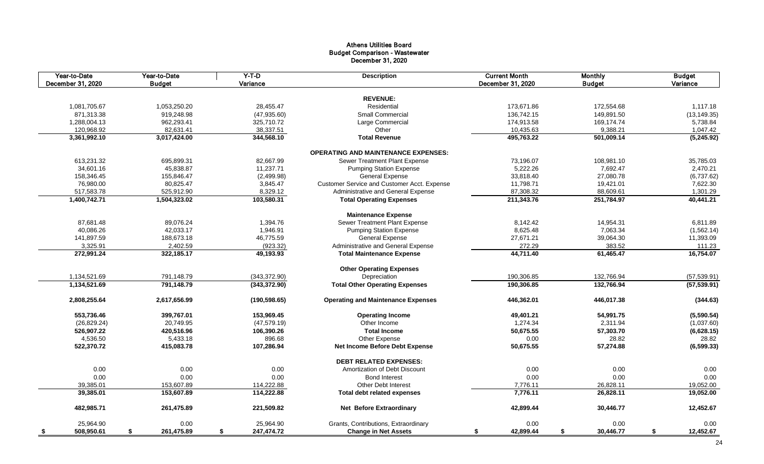| Year-to-Date<br>December 31, 2020 | Year-to-Date<br><b>Budget</b> | $Y-T-D$<br>Variance | <b>Description</b>                          | <b>Current Month</b><br>December 31, 2020 | <b>Monthly</b><br><b>Budget</b> | <b>Budget</b><br>Variance |
|-----------------------------------|-------------------------------|---------------------|---------------------------------------------|-------------------------------------------|---------------------------------|---------------------------|
|                                   |                               |                     |                                             |                                           |                                 |                           |
|                                   |                               |                     | <b>REVENUE:</b>                             |                                           |                                 |                           |
| 1,081,705.67                      | 1,053,250.20                  | 28,455.47           | Residential                                 | 173,671.86                                | 172,554.68                      | 1,117.18                  |
| 871,313.38                        | 919,248.98                    | (47, 935.60)        | <b>Small Commercial</b>                     | 136,742.15                                | 149,891.50                      | (13, 149.35)              |
| 1,288,004.13                      | 962,293.41                    | 325,710.72          | Large Commercial                            | 174,913.58                                | 169,174.74                      | 5,738.84                  |
| 120,968.92                        | 82,631.41                     | 38,337.51           | Other                                       | 10,435.63                                 | 9,388.21                        | 1,047.42                  |
| 3,361,992.10                      | 3,017,424.00                  | 344,568.10          | <b>Total Revenue</b>                        | 495,763.22                                | 501,009.14                      | (5,245.92)                |
|                                   |                               |                     | <b>OPERATING AND MAINTENANCE EXPENSES:</b>  |                                           |                                 |                           |
| 613,231.32                        | 695,899.31                    | 82,667.99           | Sewer Treatment Plant Expense               | 73,196.07                                 | 108,981.10                      | 35,785.03                 |
| 34,601.16                         | 45,838.87                     | 11,237.71           | <b>Pumping Station Expense</b>              | 5,222.26                                  | 7,692.47                        | 2,470.21                  |
| 158,346.45                        | 155,846.47                    | (2,499.98)          | <b>General Expense</b>                      | 33,818.40                                 | 27,080.78                       | (6,737.62)                |
| 76,980.00                         | 80,825.47                     | 3,845.47            | Customer Service and Customer Acct. Expense | 11,798.71                                 | 19,421.01                       | 7,622.30                  |
| 517,583.78                        | 525,912.90                    | 8,329.12            | Administrative and General Expense          | 87,308.32                                 | 88,609.61                       | 1,301.29                  |
| 1,400,742.71                      | 1,504,323.02                  | 103,580.31          | <b>Total Operating Expenses</b>             | 211,343.76                                | 251,784.97                      | 40,441.21                 |
|                                   |                               |                     | <b>Maintenance Expense</b>                  |                                           |                                 |                           |
| 87,681.48                         | 89,076.24                     | 1,394.76            | Sewer Treatment Plant Expense               | 8,142.42                                  | 14,954.31                       | 6,811.89                  |
| 40,086.26                         | 42,033.17                     | 1,946.91            | <b>Pumping Station Expense</b>              | 8,625.48                                  | 7,063.34                        | (1,562.14)                |
| 141,897.59                        | 188,673.18                    | 46,775.59           | <b>General Expense</b>                      | 27,671.21                                 | 39,064.30                       | 11,393.09                 |
| 3,325.91                          | 2,402.59                      | (923.32)            | Administrative and General Expense          | 272.29                                    | 383.52                          | 111.23                    |
| 272,991.24                        | 322,185.17                    | 49,193.93           | <b>Total Maintenance Expense</b>            | 44,711.40                                 | 61,465.47                       | 16,754.07                 |
|                                   |                               |                     |                                             |                                           |                                 |                           |
|                                   |                               |                     | <b>Other Operating Expenses</b>             |                                           |                                 |                           |
| 1,134,521.69                      | 791,148.79                    | (343, 372.90)       | Depreciation                                | 190,306.85                                | 132,766.94                      | (57, 539.91)              |
| 1,134,521.69                      | 791,148.79                    | (343, 372.90)       | <b>Total Other Operating Expenses</b>       | 190,306.85                                | 132,766.94                      | (57, 539.91)              |
| 2,808,255.64                      | 2,617,656.99                  | (190, 598.65)       | <b>Operating and Maintenance Expenses</b>   | 446,362.01                                | 446,017.38                      | (344.63)                  |
| 553,736.46                        | 399,767.01                    | 153,969.45          | <b>Operating Income</b>                     | 49,401.21                                 | 54,991.75                       | (5,590.54)                |
| (26, 829.24)                      | 20,749.95                     | (47, 579.19)        | Other Income                                | 1,274.34                                  | 2,311.94                        | (1,037.60)                |
| 526,907.22                        | 420,516.96                    | 106,390.26          | <b>Total Income</b>                         | 50,675.55                                 | 57,303.70                       | (6,628.15)                |
| 4,536.50                          | 5,433.18                      | 896.68              | <b>Other Expense</b>                        | 0.00                                      | 28.82                           | 28.82                     |
| 522,370.72                        | 415,083.78                    | 107,286.94          | <b>Net Income Before Debt Expense</b>       | 50,675.55                                 | 57,274.88                       | (6, 599.33)               |
|                                   |                               |                     | <b>DEBT RELATED EXPENSES:</b>               |                                           |                                 |                           |
| 0.00                              | 0.00                          | 0.00                | Amortization of Debt Discount               | 0.00                                      | 0.00                            | 0.00                      |
| 0.00                              | 0.00                          | 0.00                | <b>Bond Interest</b>                        | 0.00                                      | 0.00                            | 0.00                      |
| 39,385.01                         | 153,607.89                    | 114,222.88          | <b>Other Debt Interest</b>                  | 7,776.11                                  | 26,828.11                       | 19,052.00                 |
| 39,385.01                         | 153,607.89                    | 114,222.88          | <b>Total debt related expenses</b>          | 7,776.11                                  | 26,828.11                       | 19,052.00                 |
|                                   |                               |                     |                                             |                                           |                                 |                           |
| 482,985.71                        | 261,475.89                    | 221,509.82          | <b>Net Before Extraordinary</b>             | 42,899.44                                 | 30,446.77                       | 12,452.67                 |
| 25,964.90                         | 0.00                          | 25,964.90           | Grants, Contributions, Extraordinary        | 0.00                                      | 0.00                            | 0.00                      |
| 508,950.61                        | 261,475.89<br><b>S</b>        | 247,474.72<br>S     | <b>Change in Net Assets</b>                 | 42,899.44<br>\$                           | 30,446.77                       | 12,452.67<br>S.           |

| Monthly       | Budget          |  |  |  |
|---------------|-----------------|--|--|--|
| <b>Budget</b> | Variance        |  |  |  |
|               |                 |  |  |  |
| 172,554.68    | 1,117.18        |  |  |  |
| 149,891.50    | (13, 149.35)    |  |  |  |
| 169,174.74    | 5,738.84        |  |  |  |
| 9,388.21      | 1,047.42        |  |  |  |
| 501,009.14    | (5,245.92)      |  |  |  |
|               |                 |  |  |  |
| 108,981.10    | 35,785.03       |  |  |  |
| 7,692.47      | 2,470.21        |  |  |  |
| 27,080.78     | (6,737.62)      |  |  |  |
| 19,421.01     | 7,622.30        |  |  |  |
| 88,609.61     | 1,301.29        |  |  |  |
| 251,784.97    | 40,441.21       |  |  |  |
|               |                 |  |  |  |
| 14,954.31     | 6,811.89        |  |  |  |
| 7,063.34      | (1,562.14)      |  |  |  |
| 39,064.30     | 11,393.09       |  |  |  |
| 383.52        | 111.23          |  |  |  |
| 61,465.47     | 16,754.07       |  |  |  |
|               |                 |  |  |  |
| 132,766.94    | (57, 539.91)    |  |  |  |
| 132,766.94    | (57, 539.91)    |  |  |  |
| 446,017.38    | (344.63)        |  |  |  |
|               |                 |  |  |  |
| 54,991.75     | (5,590.54)      |  |  |  |
| 2,311.94      | (1,037.60)      |  |  |  |
| 57,303.70     | (6,628.15)      |  |  |  |
| 28.82         | 28.82           |  |  |  |
| 57,274.88     | (6, 599.33)     |  |  |  |
|               |                 |  |  |  |
| 0.00          | 0.00            |  |  |  |
| 0.00          | 0.00            |  |  |  |
| 26,828.11     | 19,052.00       |  |  |  |
| 26,828.11     | 19,052.00       |  |  |  |
| 30,446.77     | 12,452.67       |  |  |  |
| 0.00          | 0.00            |  |  |  |
| 30,446.77     | \$<br>12,452.67 |  |  |  |

#### Athens Utilities Board Budget Comparison - Wastewater December 31, 2020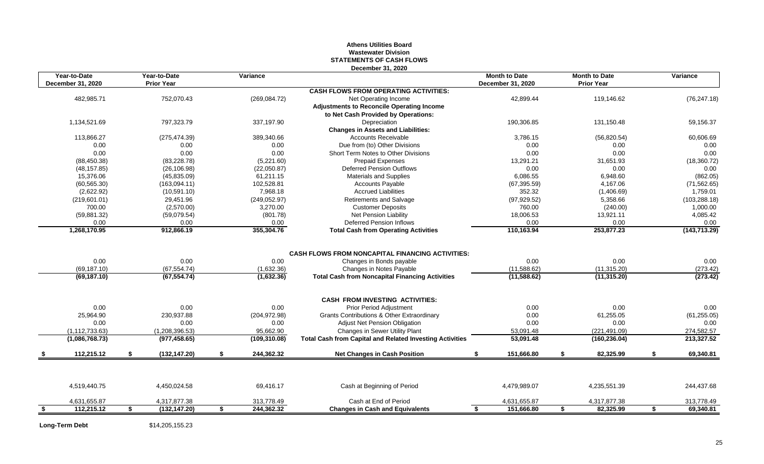#### **Athens Utilities Board Wastewater Division STATEMENTS OF CASH FLOWS December 31, 2020**

| Year-to-Date<br>December 31, 2020 | Year-to-Date<br><b>Prior Year</b> | Variance         |                                                                 | <b>Month to Date</b><br>December 31, 2020 | <b>Month to Date</b><br><b>Prior Year</b> | Variance        |
|-----------------------------------|-----------------------------------|------------------|-----------------------------------------------------------------|-------------------------------------------|-------------------------------------------|-----------------|
|                                   |                                   |                  | <b>CASH FLOWS FROM OPERATING ACTIVITIES:</b>                    |                                           |                                           |                 |
| 482,985.71                        | 752,070.43                        | (269, 084.72)    | Net Operating Income                                            | 42,899.44                                 | 119,146.62                                | (76, 247.18)    |
|                                   |                                   |                  | <b>Adjustments to Reconcile Operating Income</b>                |                                           |                                           |                 |
|                                   |                                   |                  | to Net Cash Provided by Operations:                             |                                           |                                           |                 |
| 1,134,521.69                      | 797,323.79                        | 337,197.90       | Depreciation                                                    | 190,306.85                                | 131,150.48                                | 59,156.37       |
|                                   |                                   |                  | <b>Changes in Assets and Liabilities:</b>                       |                                           |                                           |                 |
| 113,866.27                        | (275, 474.39)                     | 389,340.66       | <b>Accounts Receivable</b>                                      | 3,786.15                                  | (56, 820.54)                              | 60,606.69       |
| 0.00                              | 0.00                              | 0.00             | Due from (to) Other Divisions                                   | 0.00                                      | 0.00                                      | 0.00            |
| 0.00                              | 0.00                              | 0.00             | Short Term Notes to Other Divisions                             | 0.00                                      | 0.00                                      | 0.00            |
| (88, 450.38)                      | (83, 228.78)                      | (5,221.60)       | <b>Prepaid Expenses</b>                                         | 13,291.21                                 | 31,651.93                                 | (18, 360.72)    |
| (48, 157.85)                      | (26, 106.98)                      | (22,050.87)      | <b>Deferred Pension Outflows</b>                                | 0.00                                      | 0.00                                      | 0.00            |
| 15,376.06                         | (45, 835.09)                      | 61,211.15        | <b>Materials and Supplies</b>                                   | 6,086.55                                  | 6,948.60                                  | (862.05)        |
| (60, 565.30)                      | (163,094.11)                      | 102,528.81       | <b>Accounts Payable</b>                                         | (67, 395.59)                              | 4,167.06                                  | (71, 562.65)    |
| (2,622.92)                        | (10, 591.10)                      | 7,968.18         | <b>Accrued Liabilities</b>                                      | 352.32                                    | (1,406.69)                                | 1,759.01        |
| (219,601.01)                      | 29,451.96                         | (249, 052.97)    | <b>Retirements and Salvage</b>                                  | (97, 929.52)                              | 5,358.66                                  | (103, 288.18)   |
| 700.00                            | (2,570.00)                        | 3,270.00         | <b>Customer Deposits</b>                                        | 760.00                                    | (240.00)                                  | 1,000.00        |
| (59, 881.32)                      | (59,079.54)                       | (801.78)         | <b>Net Pension Liability</b>                                    | 18,006.53                                 | 13,921.11                                 | 4,085.42        |
| 0.00                              | 0.00                              | 0.00             | <b>Deferred Pension Inflows</b>                                 | 0.00                                      | 0.00                                      | 0.00            |
| 1,268,170.95                      | 912,866.19                        | 355,304.76       | <b>Total Cash from Operating Activities</b>                     | 110,163.94                                | 253,877.23                                | (143, 713.29)   |
|                                   |                                   |                  |                                                                 |                                           |                                           |                 |
|                                   |                                   |                  | <b>CASH FLOWS FROM NONCAPITAL FINANCING ACTIVITIES:</b>         |                                           |                                           |                 |
| 0.00                              | 0.00                              | 0.00             | Changes in Bonds payable                                        | 0.00                                      | 0.00                                      | 0.00            |
| (69, 187.10)                      | (67, 554.74)                      | (1,632.36)       | Changes in Notes Payable                                        | (11,588.62)                               | (11, 315.20)                              | (273.42)        |
| (69, 187.10)                      | (67, 554.74)                      | (1,632.36)       | <b>Total Cash from Noncapital Financing Activities</b>          | (11, 588.62)                              | (11, 315.20)                              | (273.42)        |
|                                   |                                   |                  | <b>CASH FROM INVESTING ACTIVITIES:</b>                          |                                           |                                           |                 |
| 0.00                              | 0.00                              | 0.00             | <b>Prior Period Adjustment</b>                                  | 0.00                                      | 0.00                                      | 0.00            |
| 25,964.90                         | 230,937.88                        | (204, 972.98)    | <b>Grants Contributions &amp; Other Extraordinary</b>           | 0.00                                      | 61,255.05                                 | (61, 255.05)    |
| 0.00                              | 0.00                              | 0.00             | <b>Adjust Net Pension Obligation</b>                            | 0.00                                      | 0.00                                      | 0.00            |
| (1, 112, 733.63)                  | (1,208,396.53)                    | 95,662.90        | Changes in Sewer Utility Plant                                  | 53,091.48                                 | (221, 491.09)                             | 274,582.57      |
| (1,086,768.73)                    | (977, 458.65)                     | (109, 310.08)    | <b>Total Cash from Capital and Related Investing Activities</b> | 53,091.48                                 | (160, 236.04)                             | 213,327.52      |
| 112,215.12                        | \$<br>(132,147.20)                | \$<br>244,362.32 | <b>Net Changes in Cash Position</b>                             | 151,666.80<br>-56                         | \$<br>82,325.99                           | S.<br>69,340.81 |
|                                   |                                   |                  |                                                                 |                                           |                                           |                 |
| 4,519,440.75                      | 4,450,024.58                      | 69,416.17        | Cash at Beginning of Period                                     | 4,479,989.07                              | 4,235,551.39                              | 244,437.68      |
| 4,631,655.87                      | 4,317,877.38                      | 313,778.49       | Cash at End of Period                                           | 4,631,655.87                              | 4,317,877.38                              | 313,778.49      |
| 112,215.12<br>\$                  | (132, 147.20)<br>S.               | 244,362.32<br>\$ | <b>Changes in Cash and Equivalents</b>                          | 151,666.80<br>S.                          | 82,325.99<br>S.                           | 69,340.81<br>\$ |
|                                   |                                   |                  |                                                                 |                                           |                                           |                 |

**Long-Term Debt** \$14,205,155.23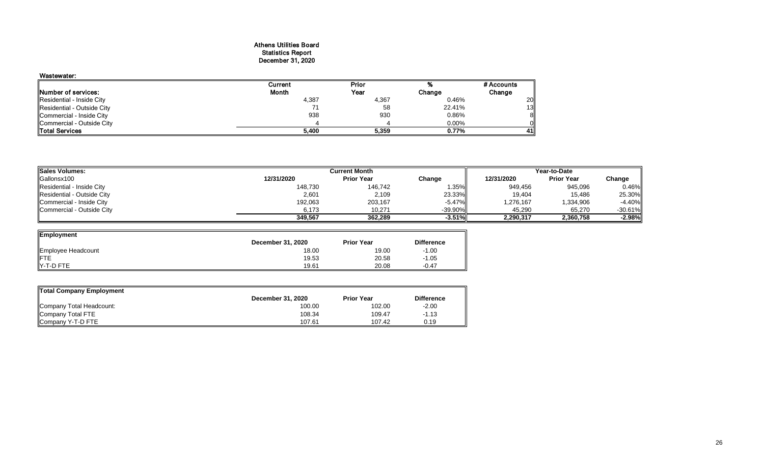#### Athens Utilities Board Statistics Report December 31, 2020

| Wastewater:                |         |       |        |            |
|----------------------------|---------|-------|--------|------------|
|                            | Current | Prior | ‰      | # Accounts |
| Number of services:        | Month   | Year  | Change | Change     |
| Residential - Inside City  | 4,387   | 4,367 | 0.46%  | 20         |
| Residential - Outside City |         | 58    | 22.41% | 13         |
| Commercial - Inside City   | 938     | 930   | 0.86%  | 8          |
| Commercial - Outside City  |         |       | 0.00%  | 01         |
| Total Services             | 5,400   | 5,359 | 0.77%  | 41         |

| Sales Volumes:             |            | Year-to-Date      |            |            |                   |           |
|----------------------------|------------|-------------------|------------|------------|-------------------|-----------|
| Gallonsx100                | 12/31/2020 | <b>Prior Year</b> | Change     | 12/31/2020 | <b>Prior Year</b> | Change    |
| Residential - Inside City  | 148,730    | 146,742           | 1.35%      | 949,456    | 945,096           | 0.46%     |
| Residential - Outside City | 2,601      | 2,109             | 23.33%     | 19,404     | 15,486            | 25.30%    |
| Commercial - Inside City   | 192,063    | 203,167           | $-5.47\%$  | 1,276,167  | 1,334,906         | $-4.40%$  |
| Commercial - Outside City  | 6,173      | 10,271            | $-39.90\%$ | 45,290     | 65,270            | $-30.61%$ |
|                            | 349,567    | 362,289           | $-3.51\%$  | 2,290,317  | 2,360,758         | $-2.98%$  |

| Employment         |                          |                   |                   |
|--------------------|--------------------------|-------------------|-------------------|
|                    | <b>December 31, 2020</b> | <b>Prior Year</b> | <b>Difference</b> |
| Employee Headcount | 18.00                    | 19.00             | $-1.00$           |
| <b>FTE</b>         | 19.53                    | 20.58             | $-1.05$           |
| Y-T-D FTE          | 19.61                    | 20.08             | $-0.47$           |

| <b>Total Company Employment</b> |                          |                   |                   |  |  |  |  |  |  |  |  |  |
|---------------------------------|--------------------------|-------------------|-------------------|--|--|--|--|--|--|--|--|--|
|                                 | <b>December 31, 2020</b> | <b>Prior Year</b> | <b>Difference</b> |  |  |  |  |  |  |  |  |  |
| Company Total Headcount:        | 100.00                   | 102.00            | $-2.00$           |  |  |  |  |  |  |  |  |  |
| Company Total FTE               | 108.34                   | 109.47            | $-1.13$           |  |  |  |  |  |  |  |  |  |
| Company Y-T-D FTE               | 107.61                   | 107.42            | 0.19              |  |  |  |  |  |  |  |  |  |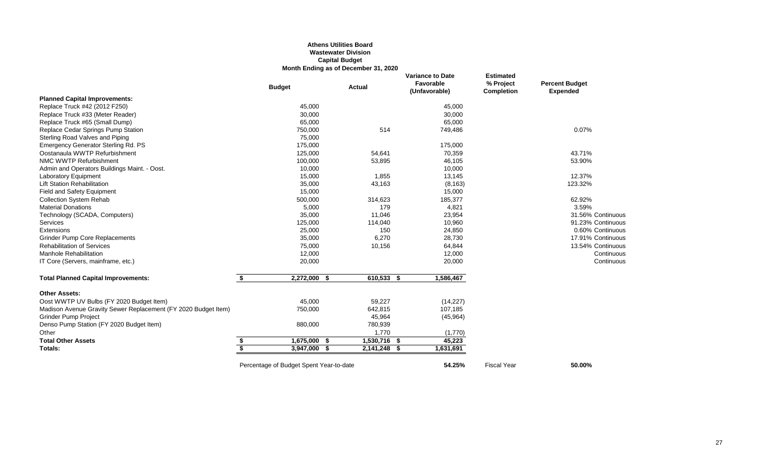### **Athens Utilities Board Wastewater Division Capital Budget Month Ending as of December 31, 2020**

### *<u>Eant Budget</u>* **(Unfavorable) Completion Expended**

|                                                                | <b>Budget</b>      | <b>Actual</b> | <b>Variance to Date</b><br>Favorable<br>(Unfavorable) | <b>Estimated</b><br>% Project<br><b>Completion</b> | <b>Percent Budget</b><br><b>Expended</b> |
|----------------------------------------------------------------|--------------------|---------------|-------------------------------------------------------|----------------------------------------------------|------------------------------------------|
| <b>Planned Capital Improvements:</b>                           |                    |               |                                                       |                                                    |                                          |
| Replace Truck #42 (2012 F250)                                  | 45,000             |               | 45,000                                                |                                                    |                                          |
| Replace Truck #33 (Meter Reader)                               | 30,000             |               | 30,000                                                |                                                    |                                          |
| Replace Truck #65 (Small Dump)                                 | 65,000             |               | 65,000                                                |                                                    |                                          |
| Replace Cedar Springs Pump Station                             | 750,000            | 514           | 749,486                                               |                                                    | 0.07%                                    |
| <b>Sterling Road Valves and Piping</b>                         | 75,000             |               |                                                       |                                                    |                                          |
| <b>Emergency Generator Sterling Rd. PS</b>                     | 175,000            |               | 175,000                                               |                                                    |                                          |
| Oostanaula WWTP Refurbishment                                  | 125,000            | 54,641        | 70,359                                                |                                                    | 43.71%                                   |
| NMC WWTP Refurbishment                                         | 100,000            | 53,895        | 46,105                                                |                                                    | 53.90%                                   |
| Admin and Operators Buildings Maint. - Oost.                   | 10,000             |               | 10,000                                                |                                                    |                                          |
| <b>Laboratory Equipment</b>                                    | 15,000             | 1,855         | 13,145                                                |                                                    | 12.37%                                   |
| <b>Lift Station Rehabilitation</b>                             | 35,000             | 43,163        | (8, 163)                                              |                                                    | 123.32%                                  |
| <b>Field and Safety Equipment</b>                              | 15,000             |               | 15,000                                                |                                                    |                                          |
| <b>Collection System Rehab</b>                                 | 500,000            | 314,623       | 185,377                                               |                                                    | 62.92%                                   |
| <b>Material Donations</b>                                      | 5,000              | 179           | 4,821                                                 |                                                    | 3.59%                                    |
| Technology (SCADA, Computers)                                  | 35,000             | 11,046        | 23,954                                                |                                                    | 31.56% Continuous                        |
| Services                                                       | 125,000            | 114,040       | 10,960                                                |                                                    | 91.23% Continuous                        |
| Extensions                                                     | 25,000             | 150           | 24,850                                                |                                                    | 0.60% Continuous                         |
| <b>Grinder Pump Core Replacements</b>                          | 35,000             | 6,270         | 28,730                                                |                                                    | 17.91% Continuous                        |
| <b>Rehabilitation of Services</b>                              | 75,000             | 10,156        | 64,844                                                |                                                    | 13.54% Continuous                        |
| <b>Manhole Rehabilitation</b>                                  | 12,000             |               | 12,000                                                |                                                    | Continuous                               |
| IT Core (Servers, mainframe, etc.)                             | 20,000             |               | 20,000                                                |                                                    | Continuous                               |
| <b>Total Planned Capital Improvements:</b>                     | \$<br>2,272,000 \$ | 610,533 \$    | 1,586,467                                             |                                                    |                                          |
| <b>Other Assets:</b>                                           |                    |               |                                                       |                                                    |                                          |
| Oost WWTP UV Bulbs (FY 2020 Budget Item)                       | 45,000             | 59,227        | (14, 227)                                             |                                                    |                                          |
| Madison Avenue Gravity Sewer Replacement (FY 2020 Budget Item) | 750,000            | 642,815       | 107,185                                               |                                                    |                                          |
| <b>Grinder Pump Project</b>                                    |                    | 45,964        | (45, 964)                                             |                                                    |                                          |
| Denso Pump Station (FY 2020 Budget Item)                       | 880,000            | 780,939       |                                                       |                                                    |                                          |
| Other                                                          |                    | 1,770         | (1,770)                                               |                                                    |                                          |
| <b>Total Other Assets</b>                                      | \$<br>1,675,000 \$ | 1,530,716 \$  | 45,223                                                |                                                    |                                          |
| Totals:                                                        | \$<br>3,947,000 \$ | 2,141,248 \$  | 1,631,691                                             |                                                    |                                          |
|                                                                |                    |               |                                                       |                                                    |                                          |

Percentage of Budget Spent Year-to-date **50.00%** 54.25% Fiscal Year **50.00%**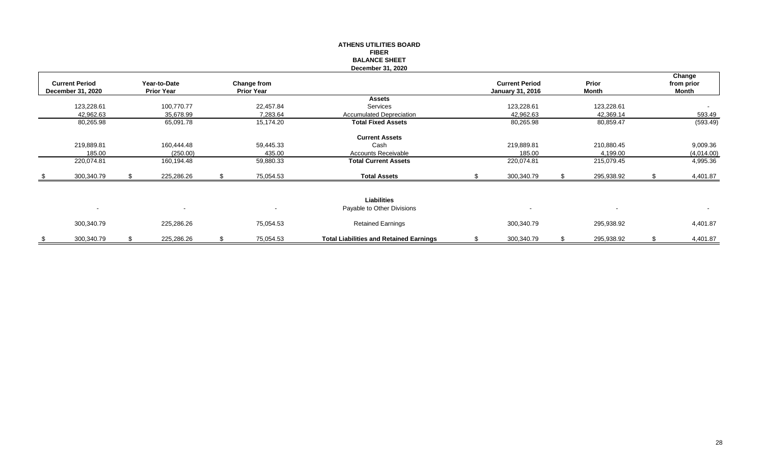#### **ATHENS UTILITIES BOARD FIBER BALANCE SHEET December 31, 2020**

|                          |                   |                          |                    |                                                |                         |                          | Change       |
|--------------------------|-------------------|--------------------------|--------------------|------------------------------------------------|-------------------------|--------------------------|--------------|
| <b>Current Period</b>    | Year-to-Date      |                          | <b>Change from</b> |                                                | <b>Current Period</b>   | Prior                    | from prior   |
| <b>December 31, 2020</b> | <b>Prior Year</b> |                          | <b>Prior Year</b>  |                                                | <b>January 31, 2016</b> | <b>Month</b>             | <b>Month</b> |
|                          |                   |                          |                    | <b>Assets</b>                                  |                         |                          |              |
| 123,228.61               |                   | 100,770.77               | 22,457.84          | Services                                       | 123,228.61              | 123,228.61               |              |
| 42,962.63                |                   | 35,678.99                | 7,283.64           | <b>Accumulated Depreciation</b>                | 42,962.63               | 42,369.14                | 593.49       |
| 80,265.98                |                   | 65,091.78                | 15,174.20          | <b>Total Fixed Assets</b>                      | 80,265.98               | 80,859.47                | (593.49)     |
|                          |                   |                          |                    | <b>Current Assets</b>                          |                         |                          |              |
| 219,889.81               |                   | 160,444.48               | 59,445.33          | Cash                                           | 219,889.81              | 210,880.45               | 9,009.36     |
| 185.00                   |                   | (250.00)                 | 435.00             | <b>Accounts Receivable</b>                     | 185.00                  | 4,199.00                 | (4,014.00)   |
| 220,074.81               |                   | 160,194.48               | 59,880.33          | <b>Total Current Assets</b>                    | 220,074.81              | 215,079.45               | 4,995.36     |
| \$<br>300,340.79         |                   | 225,286.26               | 75,054.53          | <b>Total Assets</b>                            | 300,340.79              | 295,938.92               | 4,401.87     |
|                          |                   |                          |                    | <b>Liabilities</b>                             |                         |                          |              |
| $\sim$                   |                   | $\overline{\phantom{0}}$ | $\sim$             | Payable to Other Divisions                     | $\sim$                  | $\overline{\phantom{a}}$ | $\sim$       |
| 300,340.79               |                   | 225,286.26               | 75,054.53          | <b>Retained Earnings</b>                       | 300,340.79              | 295,938.92               | 4,401.87     |
| \$<br>300,340.79         |                   | 225,286.26               | 75,054.53          | <b>Total Liabilities and Retained Earnings</b> | 300,340.79              | 295,938.92               | 4,401.87     |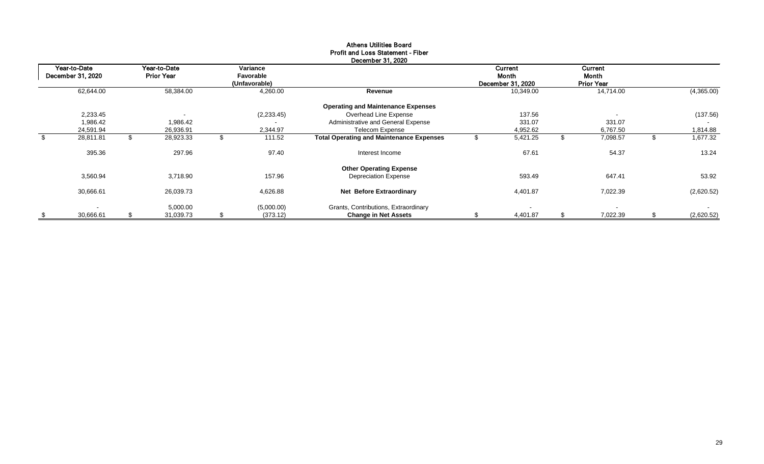## Athens Utilities Board Profit and Loss Statement - Fiber

|                | Year-to-Date<br>December 31, 2020 | Year-to-Date<br><b>Prior Year</b> | Variance<br>Favorable<br>(Unfavorable) |                                                 | <b>Current</b><br>Month<br>December 31, 2020 | <b>Current</b><br>Month<br><b>Prior Year</b> |   |                          |
|----------------|-----------------------------------|-----------------------------------|----------------------------------------|-------------------------------------------------|----------------------------------------------|----------------------------------------------|---|--------------------------|
|                | 62,644.00                         | 58,384.00                         | 4,260.00                               | Revenue                                         | 10,349.00                                    | 14,714.00                                    |   | (4,365.00)               |
|                |                                   |                                   |                                        | <b>Operating and Maintenance Expenses</b>       |                                              |                                              |   |                          |
|                | 2,233.45                          |                                   | (2, 233.45)                            | Overhead Line Expense                           | 137.56                                       |                                              |   | (137.56)                 |
|                | 1,986.42                          | 1,986.42                          |                                        | Administrative and General Expense              | 331.07                                       | 331.07                                       |   |                          |
|                | 24,591.94                         | 26,936.91                         | 2,344.97                               | <b>Telecom Expense</b>                          | 4,952.62                                     | 6,767.50                                     |   | 1,814.88                 |
| $\mathfrak{S}$ | 28,811.81                         | 28,923.33                         | 111.52                                 | <b>Total Operating and Maintenance Expenses</b> | 5,421.25                                     | \$<br>7,098.57                               | Ъ | 1,677.32                 |
|                | 395.36                            | 297.96                            | 97.40                                  | Interest Income                                 | 67.61                                        | 54.37                                        |   | 13.24                    |
|                |                                   |                                   |                                        | <b>Other Operating Expense</b>                  |                                              |                                              |   |                          |
|                | 3,560.94                          | 3,718.90                          | 157.96                                 | <b>Depreciation Expense</b>                     | 593.49                                       | 647.41                                       |   | 53.92                    |
|                | 30,666.61                         | 26,039.73                         | 4,626.88                               | <b>Net Before Extraordinary</b>                 | 4,401.87                                     | 7,022.39                                     |   | (2,620.52)               |
|                | $\overline{\phantom{a}}$          | 5,000.00                          | (5,000.00)                             | Grants, Contributions, Extraordinary            | $\overline{\phantom{a}}$                     |                                              |   | $\overline{\phantom{a}}$ |
| \$             | 30,666.61                         | 31,039.73                         | (373.12)                               | <b>Change in Net Assets</b>                     | 4,401.87                                     | 7,022.39                                     |   | (2,620.52)               |